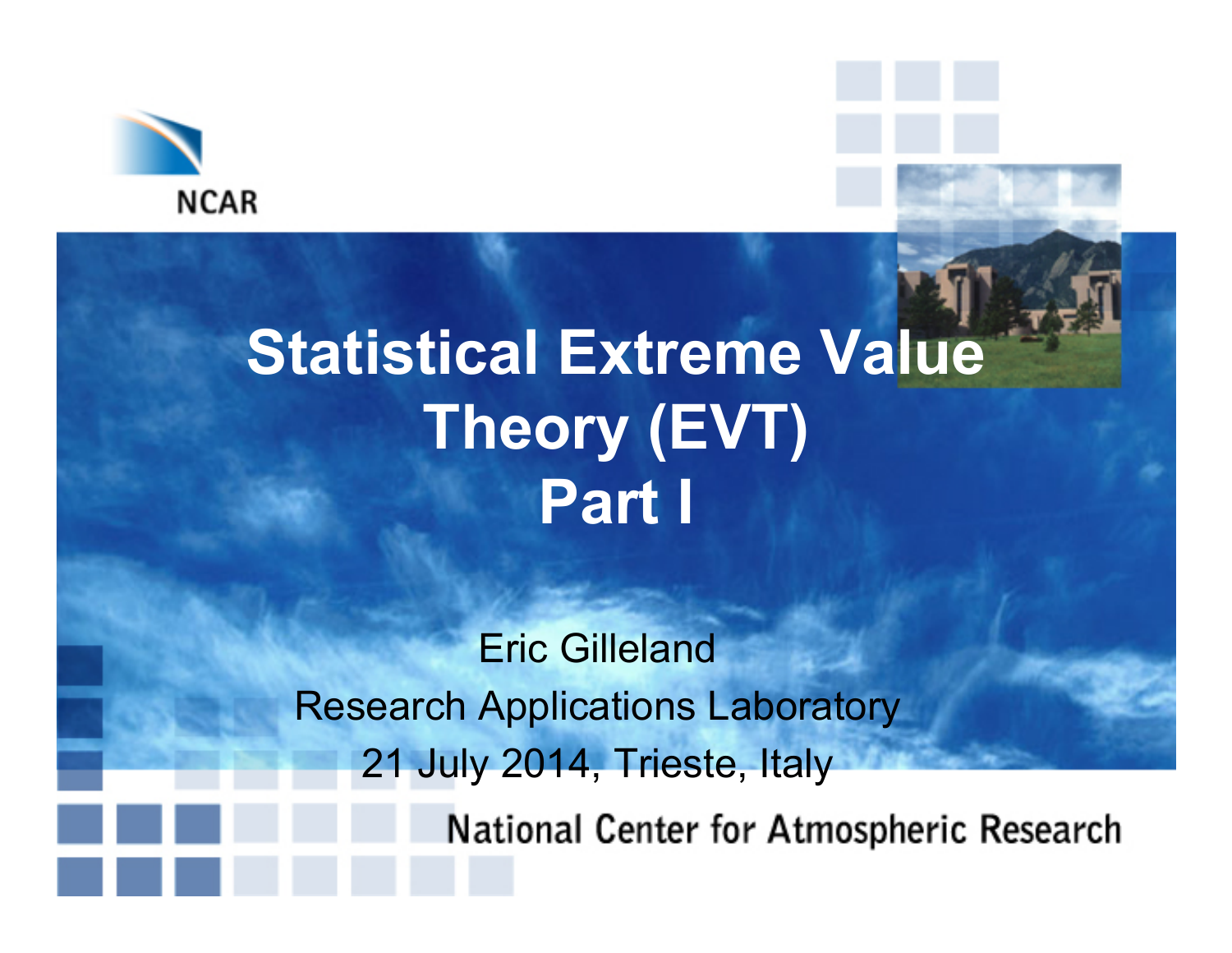

## **Statistical Extreme Value Theory (EVT) Part I**

Eric Gilleland Research Applications Laboratory 21 July 2014, Trieste, Italy

National Center for Atmospheric Research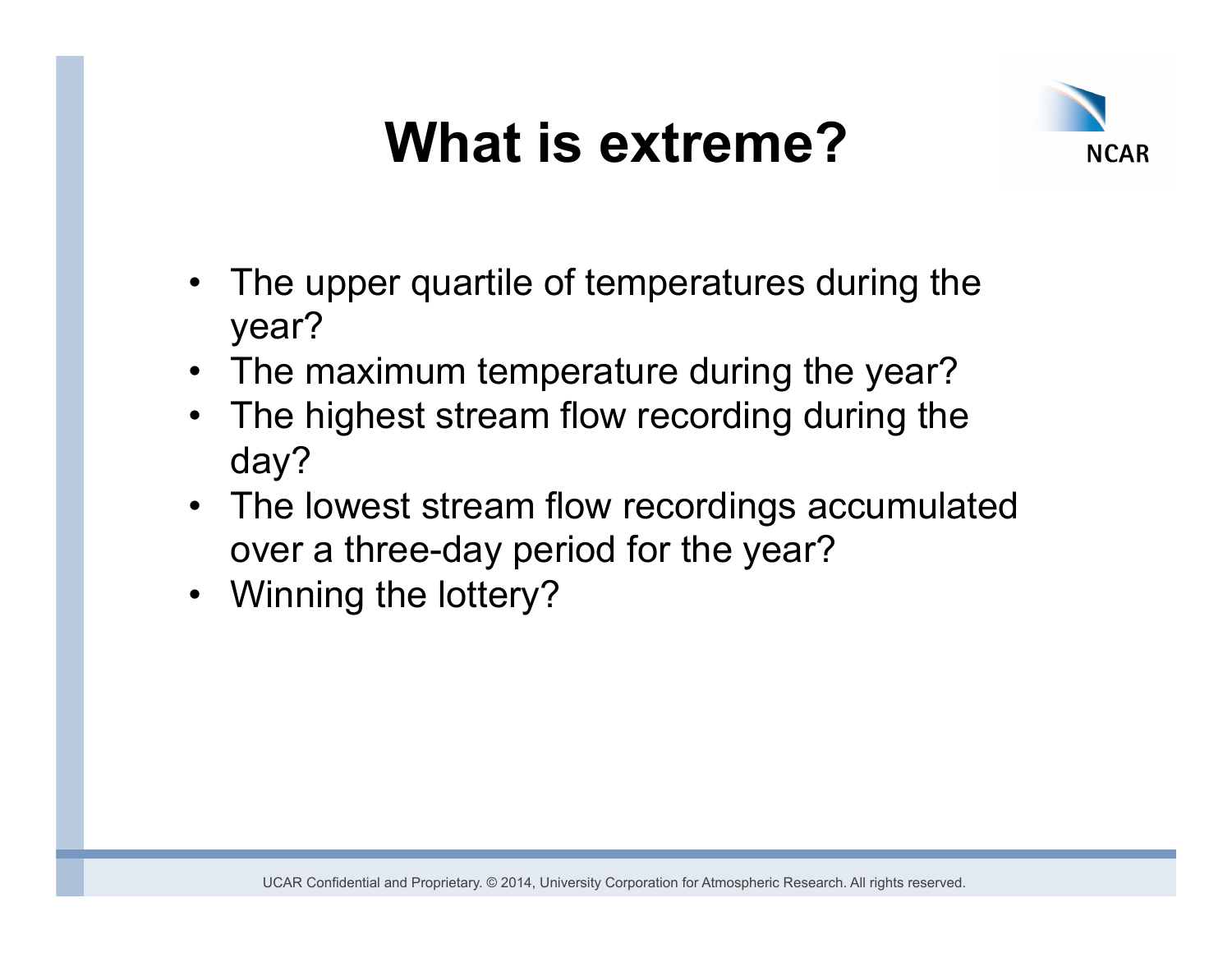

- The upper quartile of temperatures during the year?
- The maximum temperature during the year?
- The highest stream flow recording during the day?
- The lowest stream flow recordings accumulated over a three-day period for the year?
- Winning the lottery?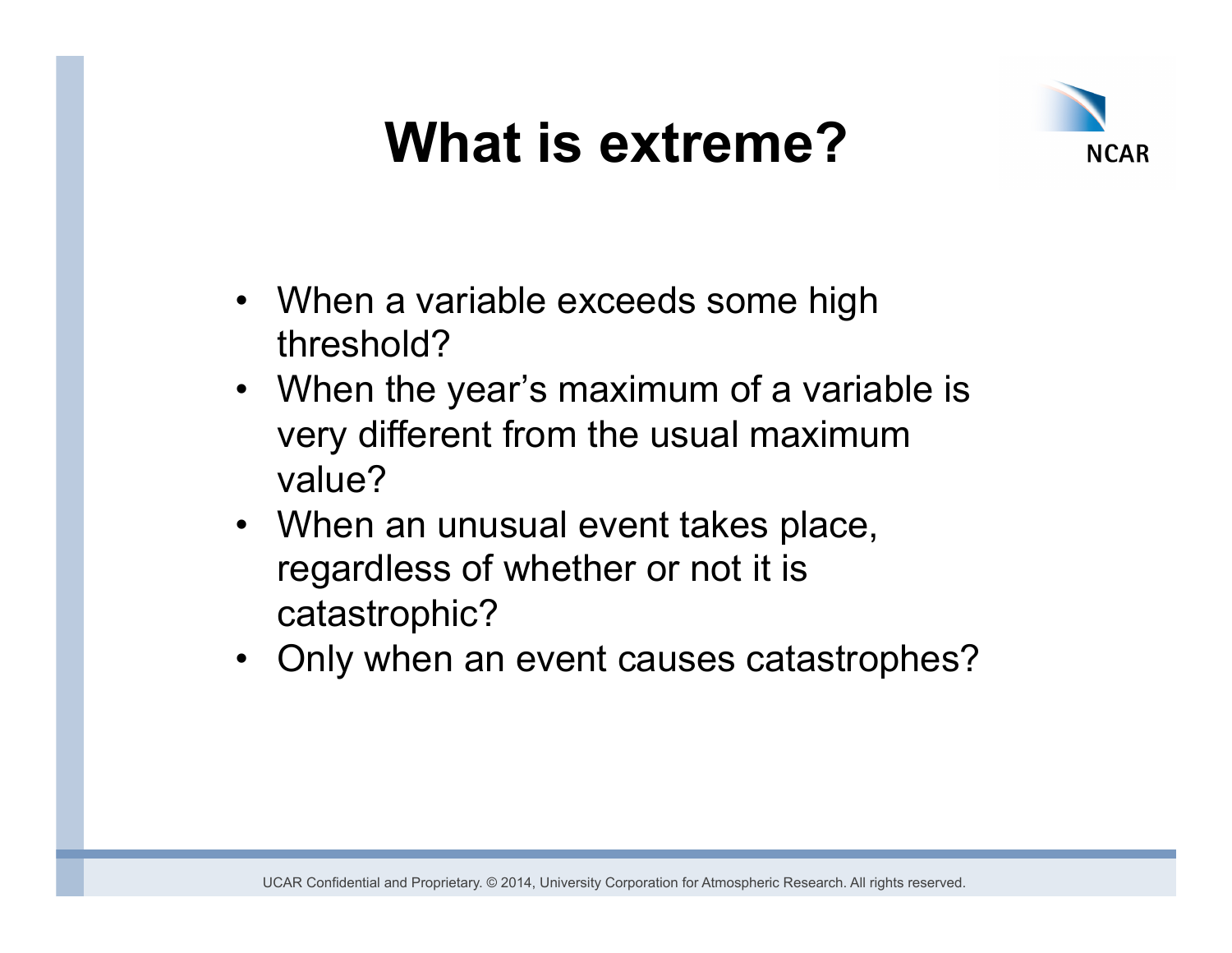

- When a variable exceeds some high threshold?
- When the year's maximum of a variable is very different from the usual maximum value?
- When an unusual event takes place, regardless of whether or not it is catastrophic?
- Only when an event causes catastrophes?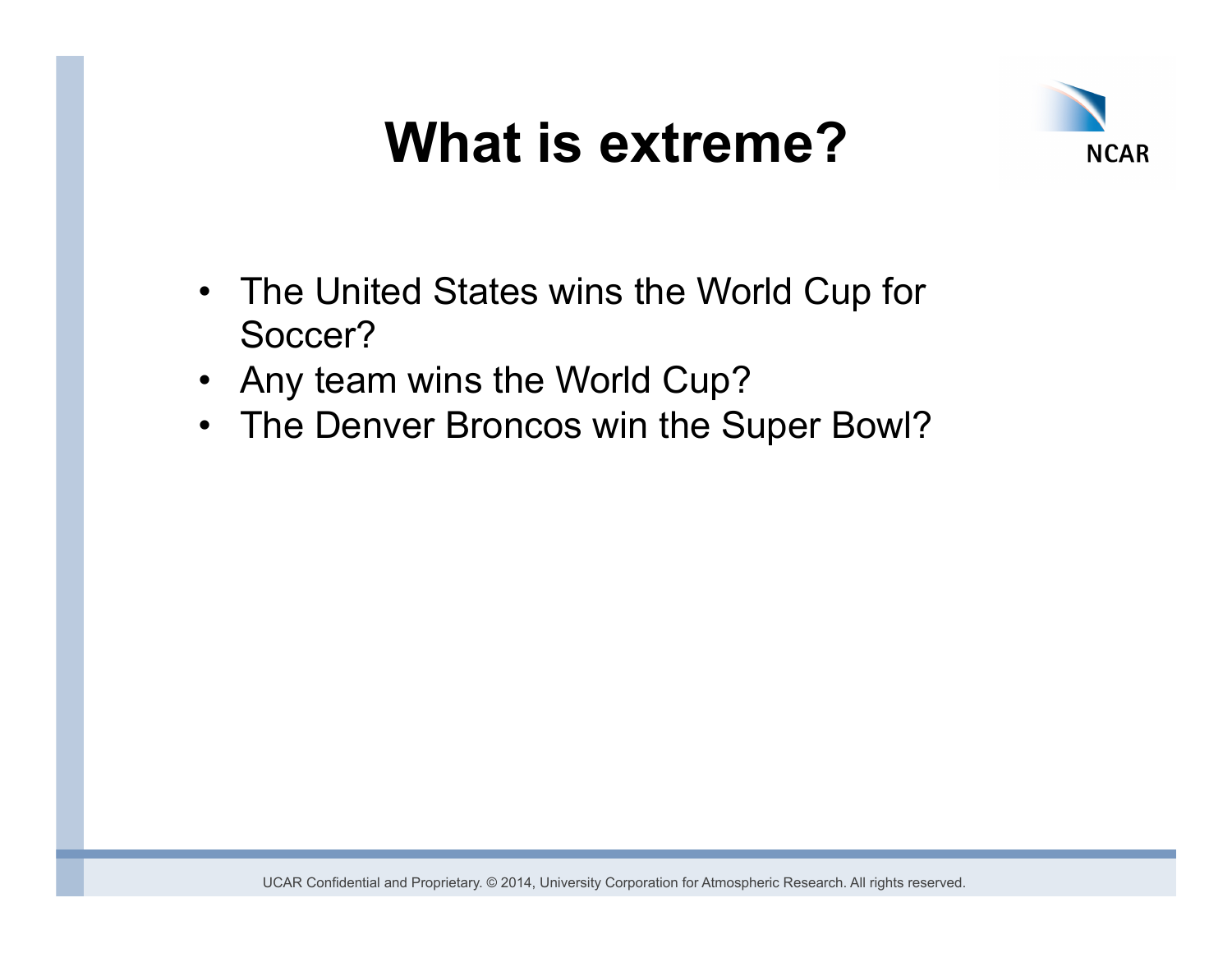

- The United States wins the World Cup for Soccer?
- Any team wins the World Cup?
- The Denver Broncos win the Super Bowl?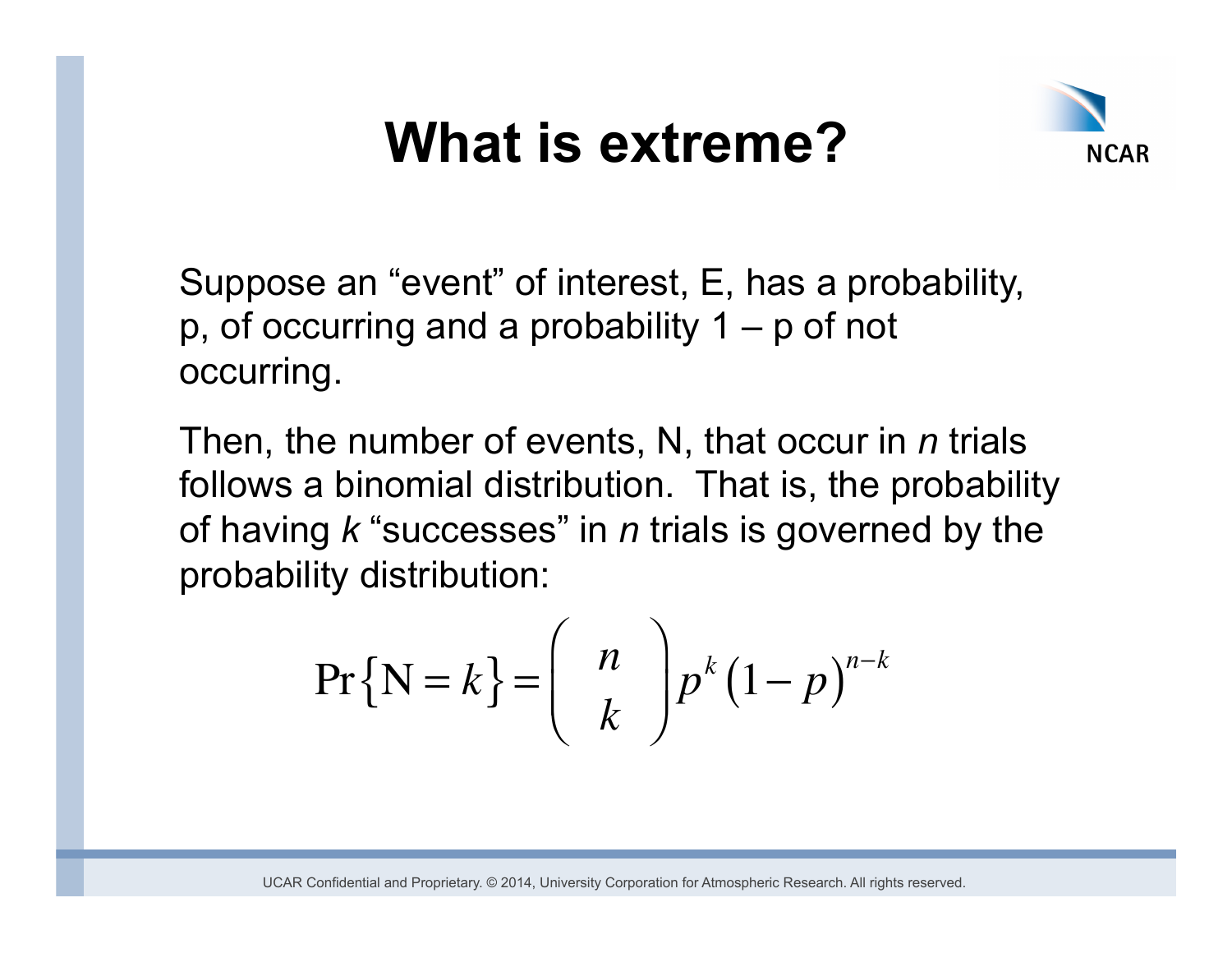

Suppose an "event" of interest, E, has a probability, p, of occurring and a probability  $1 - p$  of not occurring.

Then, the number of events, N, that occur in *n* trials follows a binomial distribution. That is, the probability of having *k* "successes" in *n* trials is governed by the probability distribution:

$$
\Pr\{\mathbf{N}=k\} = \begin{pmatrix} n \\ k \end{pmatrix} p^k (1-p)^{n-k}
$$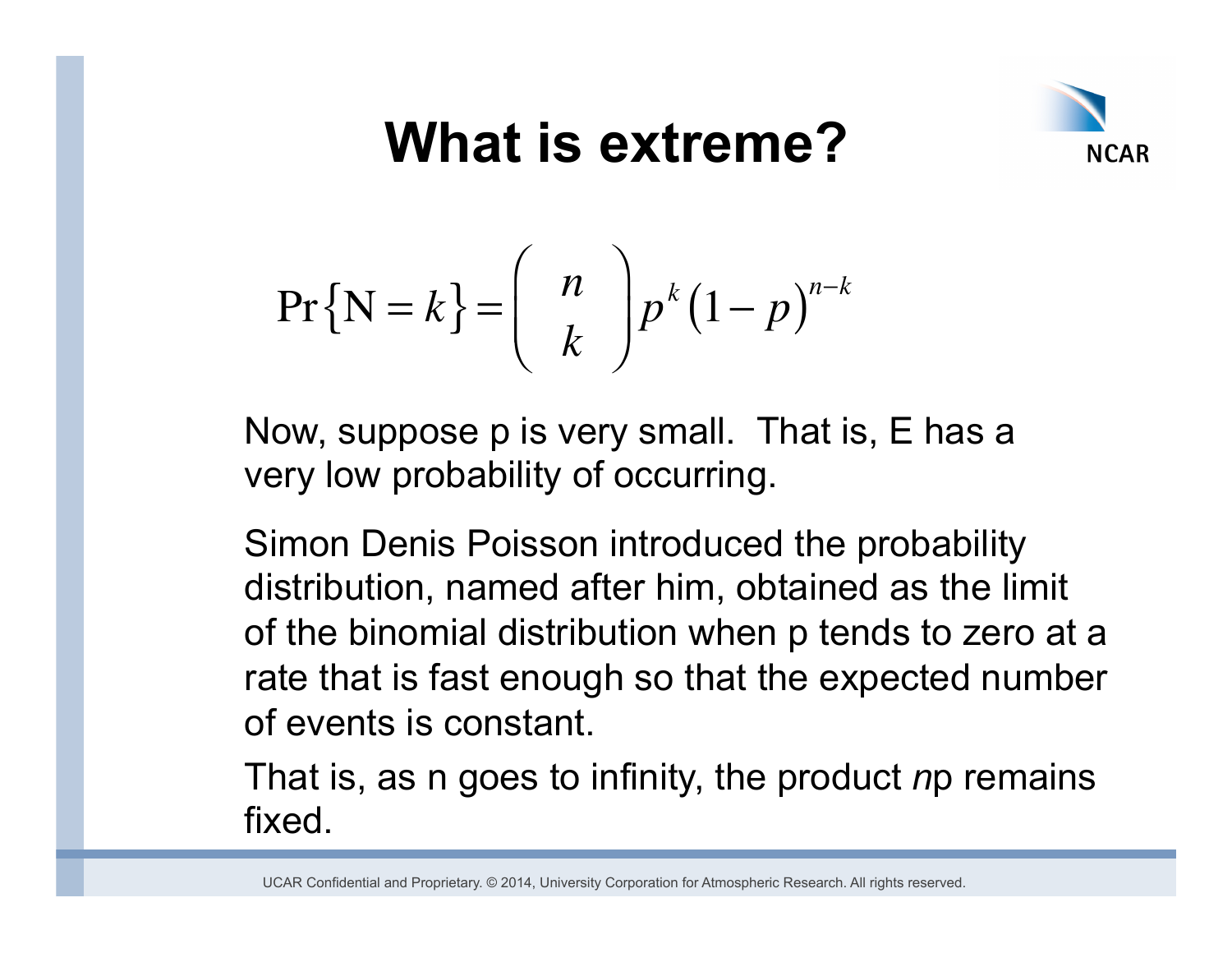

$$
\Pr\{\mathbf{N}=k\} = \binom{n}{k} p^k (1-p)^{n-k}
$$

Now, suppose p is very small. That is, E has a very low probability of occurring.

Simon Denis Poisson introduced the probability distribution, named after him, obtained as the limit of the binomial distribution when p tends to zero at a rate that is fast enough so that the expected number of events is constant.

That is, as n goes to infinity, the product *n*p remains fixed.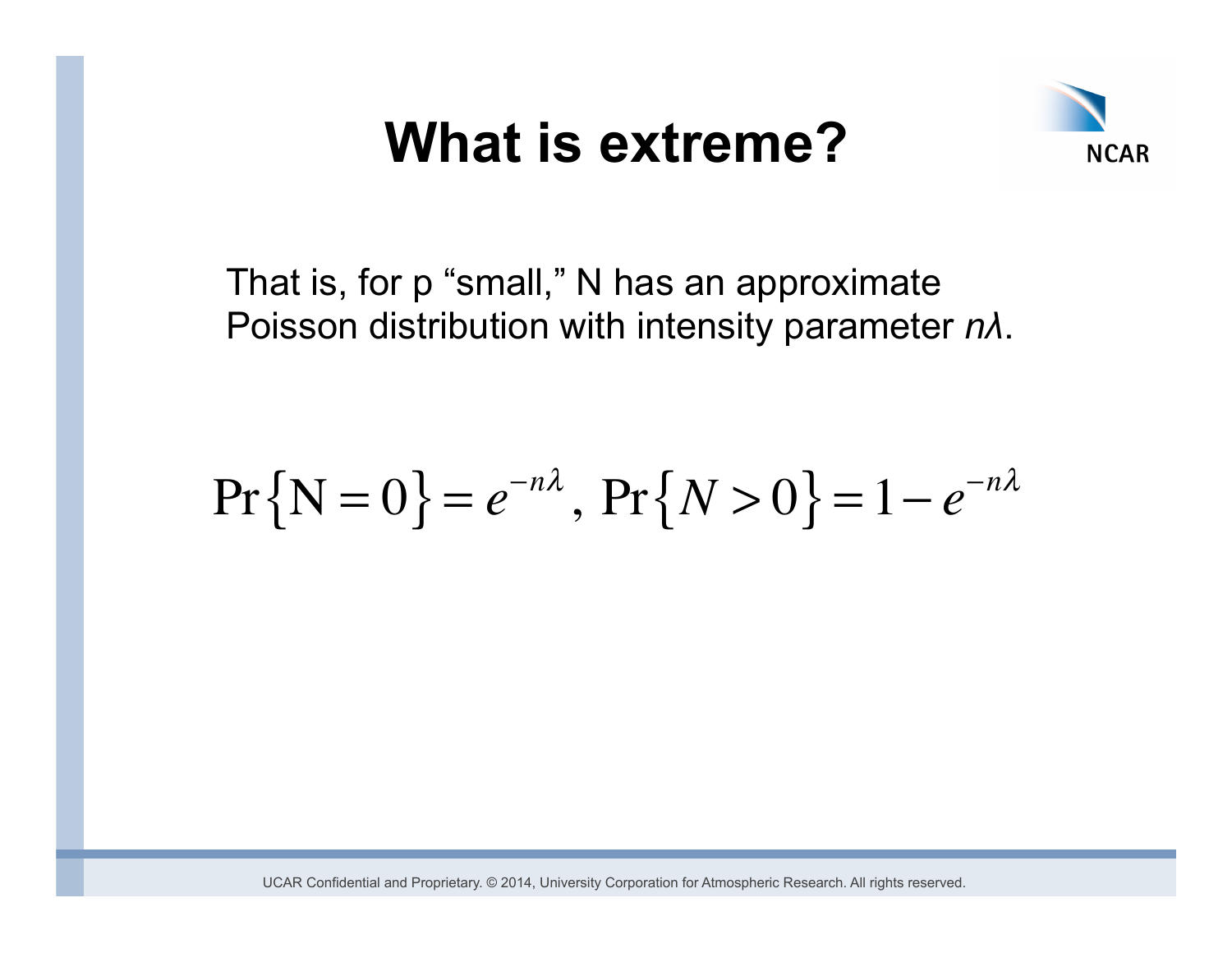

That is, for p "small," N has an approximate Poisson distribution with intensity parameter *nλ*.

# $\Pr\{N=0\} = e^{-n\lambda}, \Pr\{N>0\} = 1 - e^{-n\lambda}$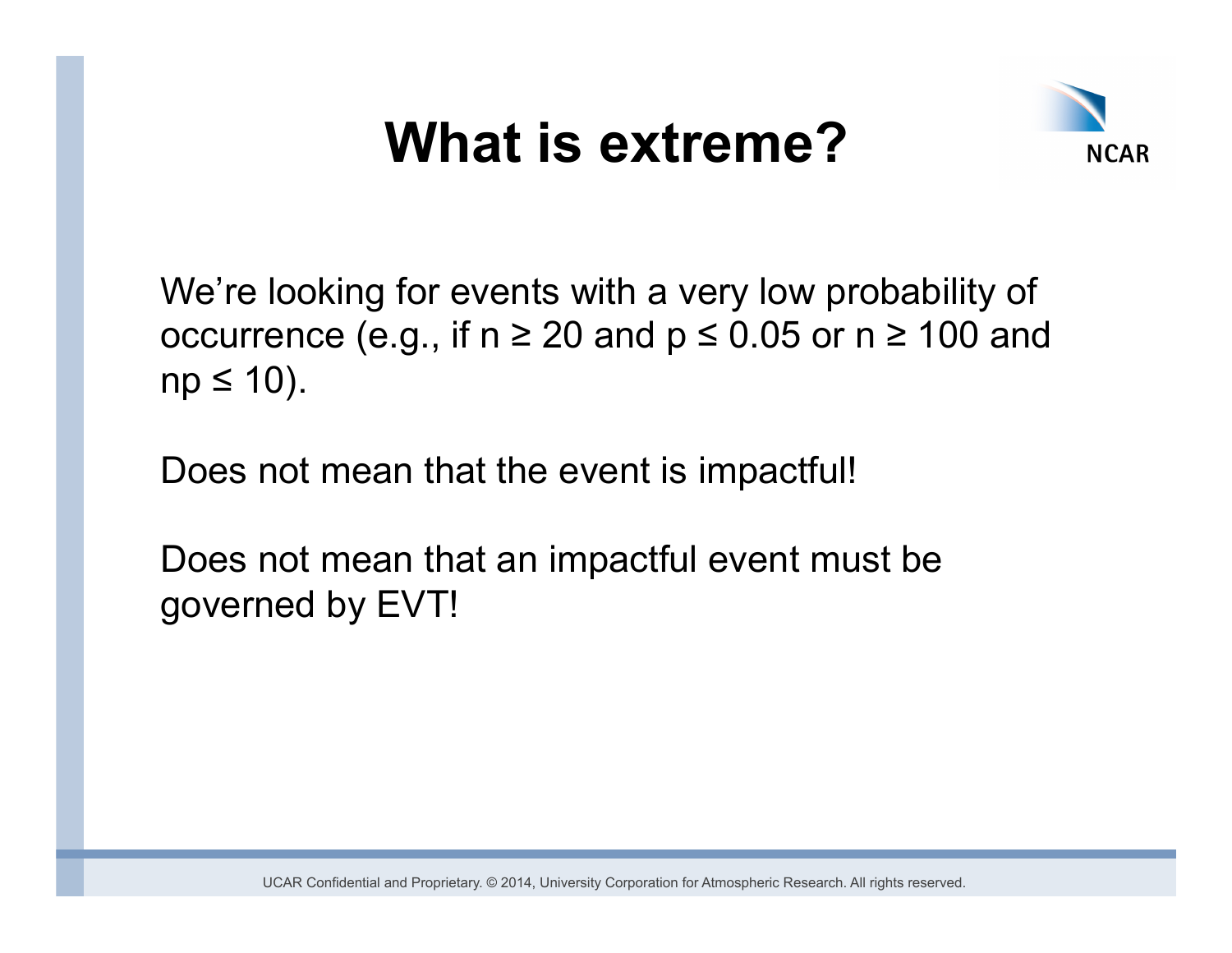

We're looking for events with a very low probability of occurrence (e.g., if  $n \ge 20$  and  $p \le 0.05$  or  $n \ge 100$  and  $np \leq 10$ ).

Does not mean that the event is impactful!

Does not mean that an impactful event must be governed by EVT!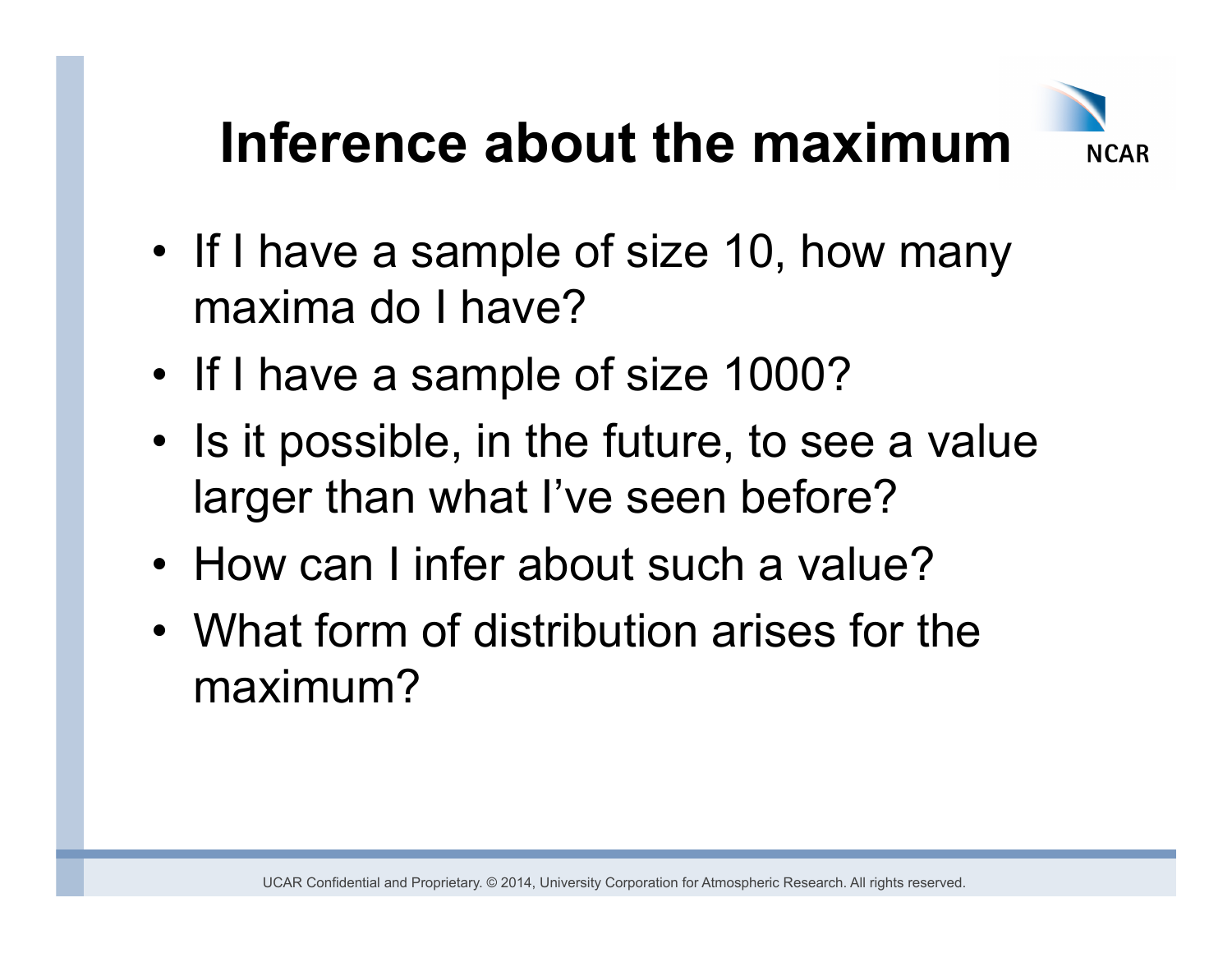## **Inference about the maximum**



- If I have a sample of size 10, how many maxima do I have?
- If I have a sample of size 1000?
- Is it possible, in the future, to see a value larger than what I've seen before?
- How can I infer about such a value?
- What form of distribution arises for the maximum?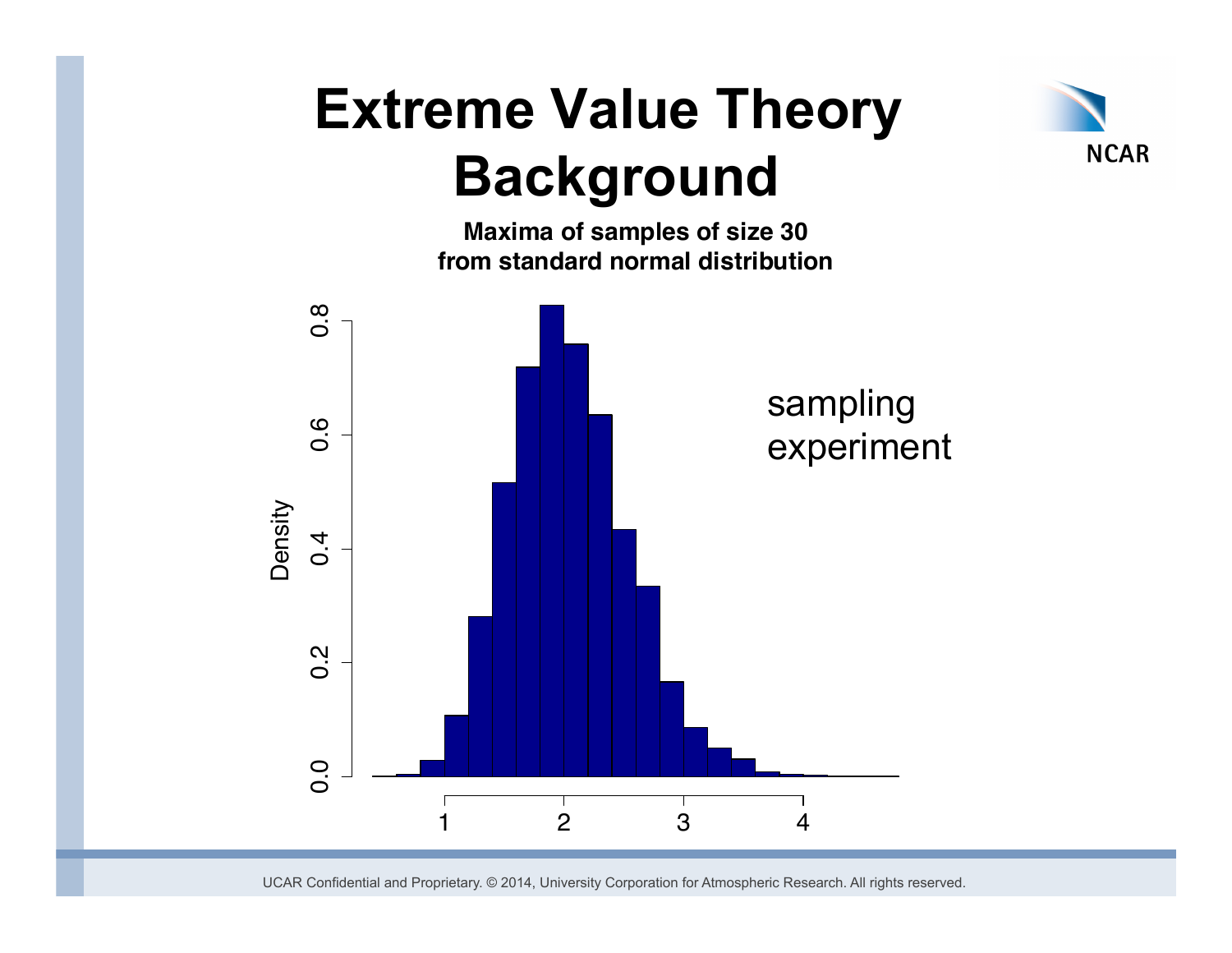## **Extreme Value Theory Background**

**from standard normal distribution**

**Maxima of samples of size 30**

**NCAR** 

 $\overline{0}$ . 0.0 0.2 0.4 0.6 0.8 sampling  $0.\overline{6}$ experiment Density  $0.4$  $0.\overline{2}$  $0.0$ 1 2 3 4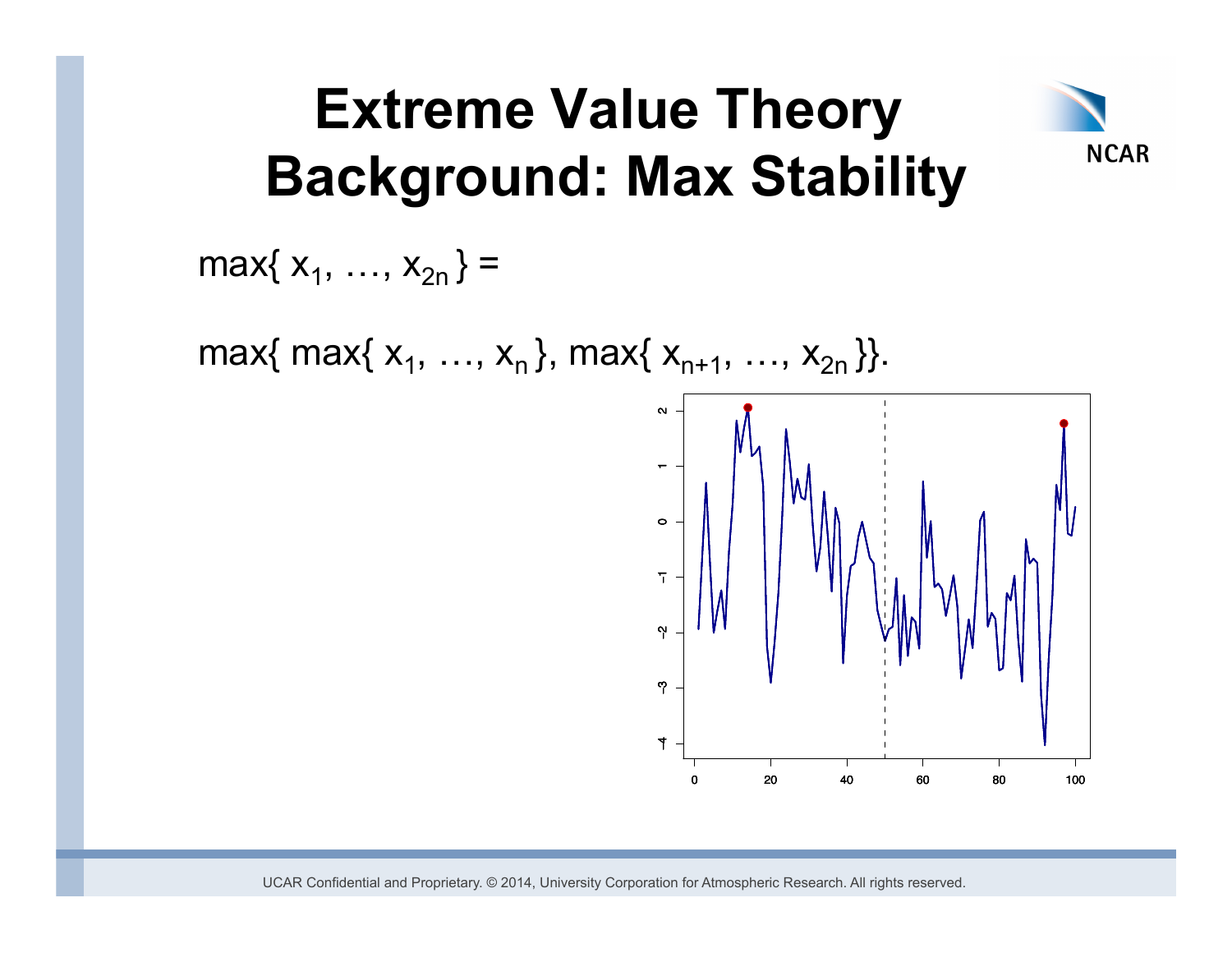## **Extreme Value Theory Background: Max Stability**

max $\{ x_1, ..., x_{2n} \}$  =

max{ max{  $x_1, ..., x_n$ }, max{  $x_{n+1}, ..., x_{2n}$  }}.



**NCAR**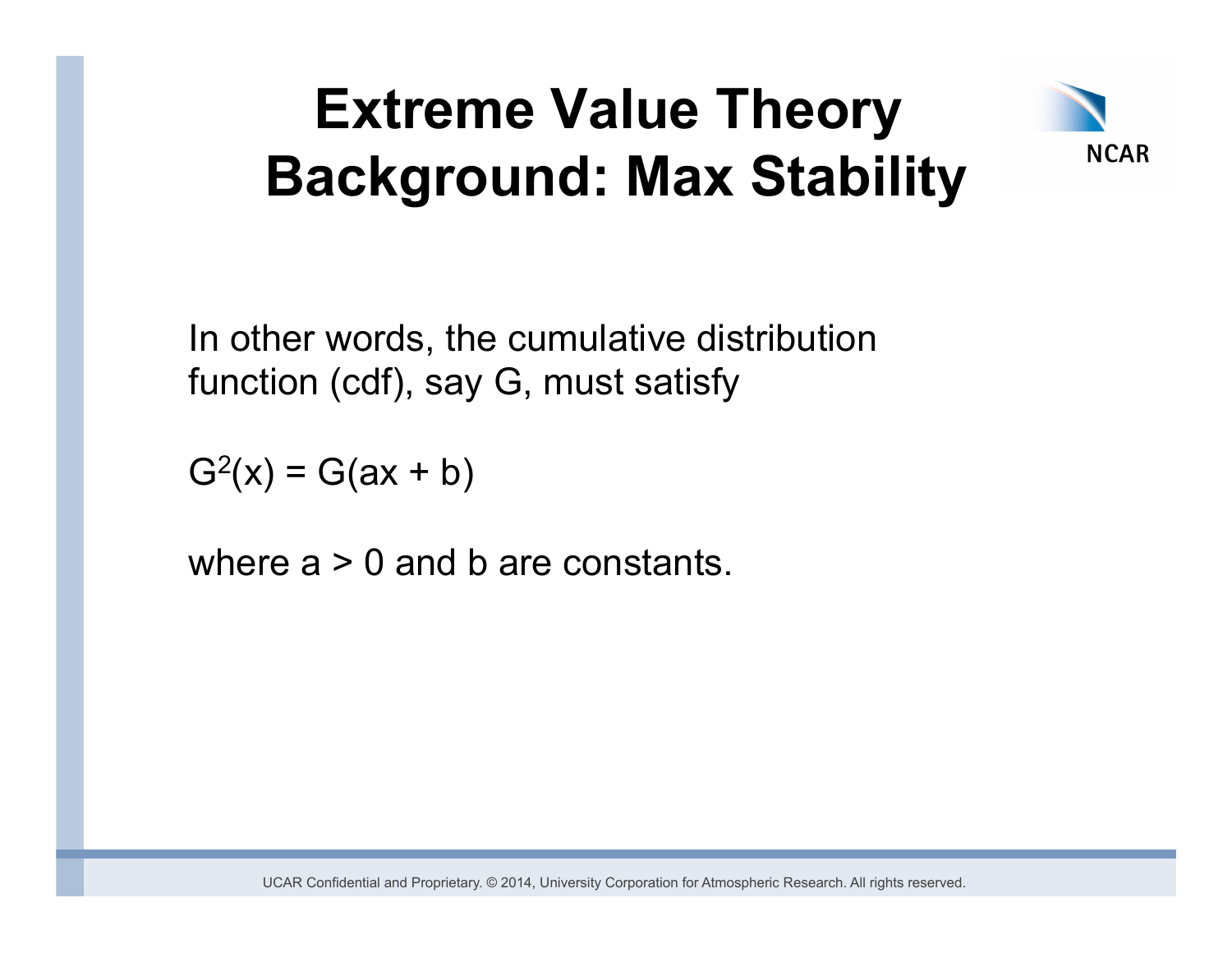## **Extreme Value Theory Background: Max Stability**



In other words, the cumulative distribution function (cdf), say G, must satisfy

 $G^{2}(x) = G(ax + b)$ 

where  $a > 0$  and b are constants.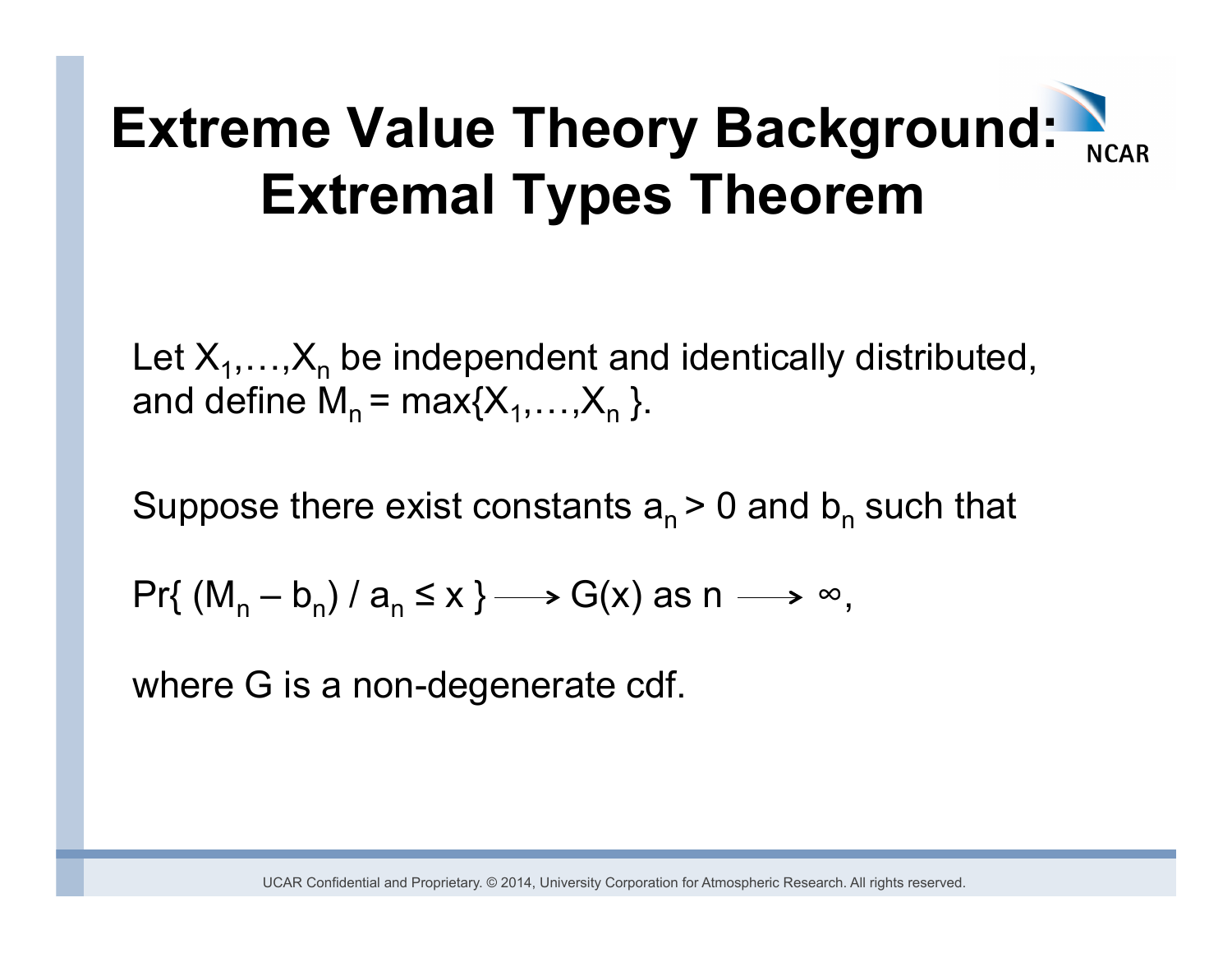Let  $X_1, \ldots, X_n$  be independent and identically distributed, and define  $M_n = max\{X_1,...,X_n\}$ .

Suppose there exist constants  $a_n > 0$  and  $b_n$  such that

 $Pr\{ (M_n - b_n) / a_n \le x \} \longrightarrow G(x) \text{ as } n \longrightarrow \infty,$ 

where G is a non-degenerate cdf.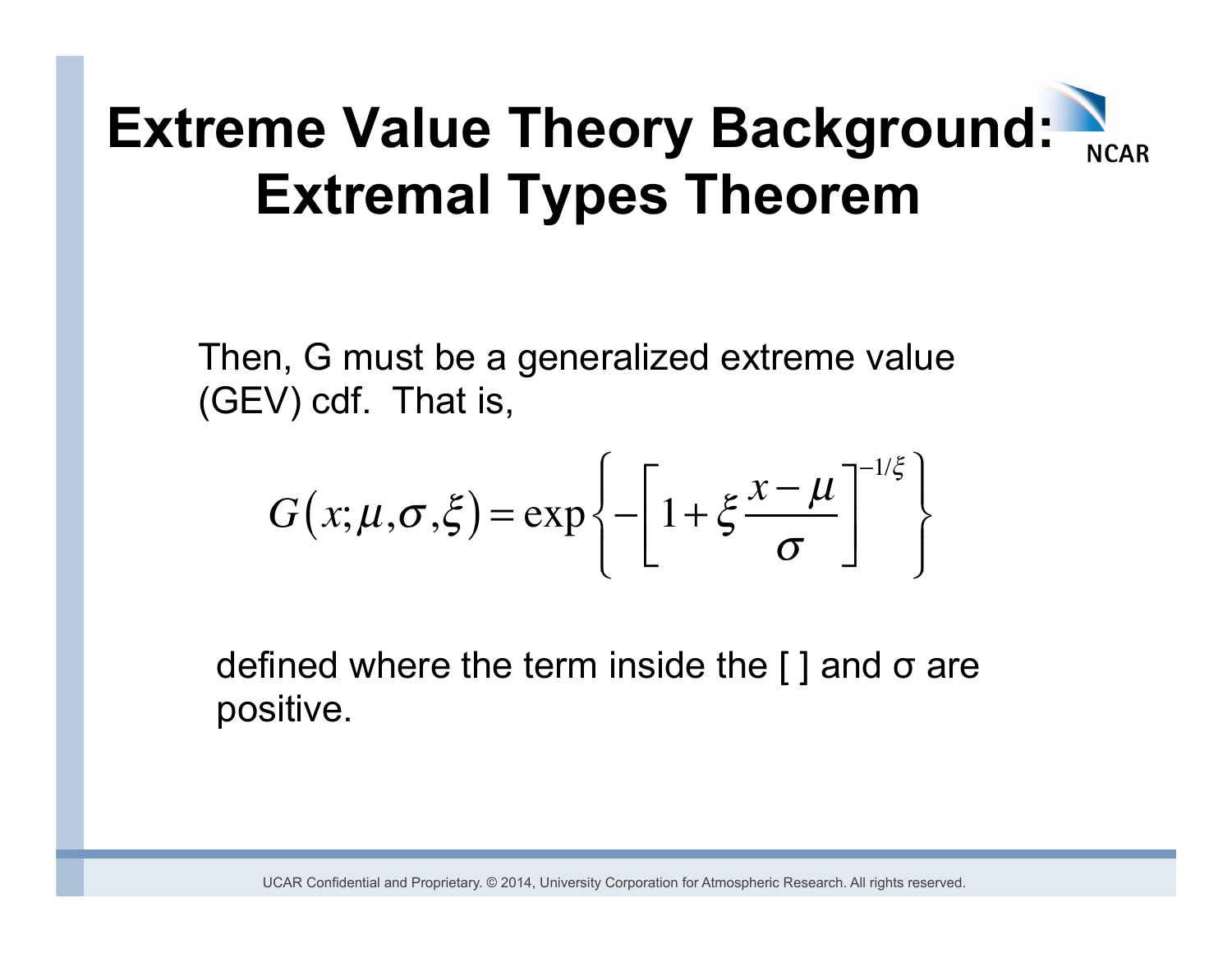Then, G must be a generalized extreme value (GEV) cdf. That is,

$$
G(x; \mu, \sigma, \xi) = \exp\left\{-\left[1 + \xi \frac{x - \mu}{\sigma}\right]^{-1/\xi}\right\}
$$

defined where the term inside the  $\lceil \cdot \rceil$  and  $\sigma$  are positive.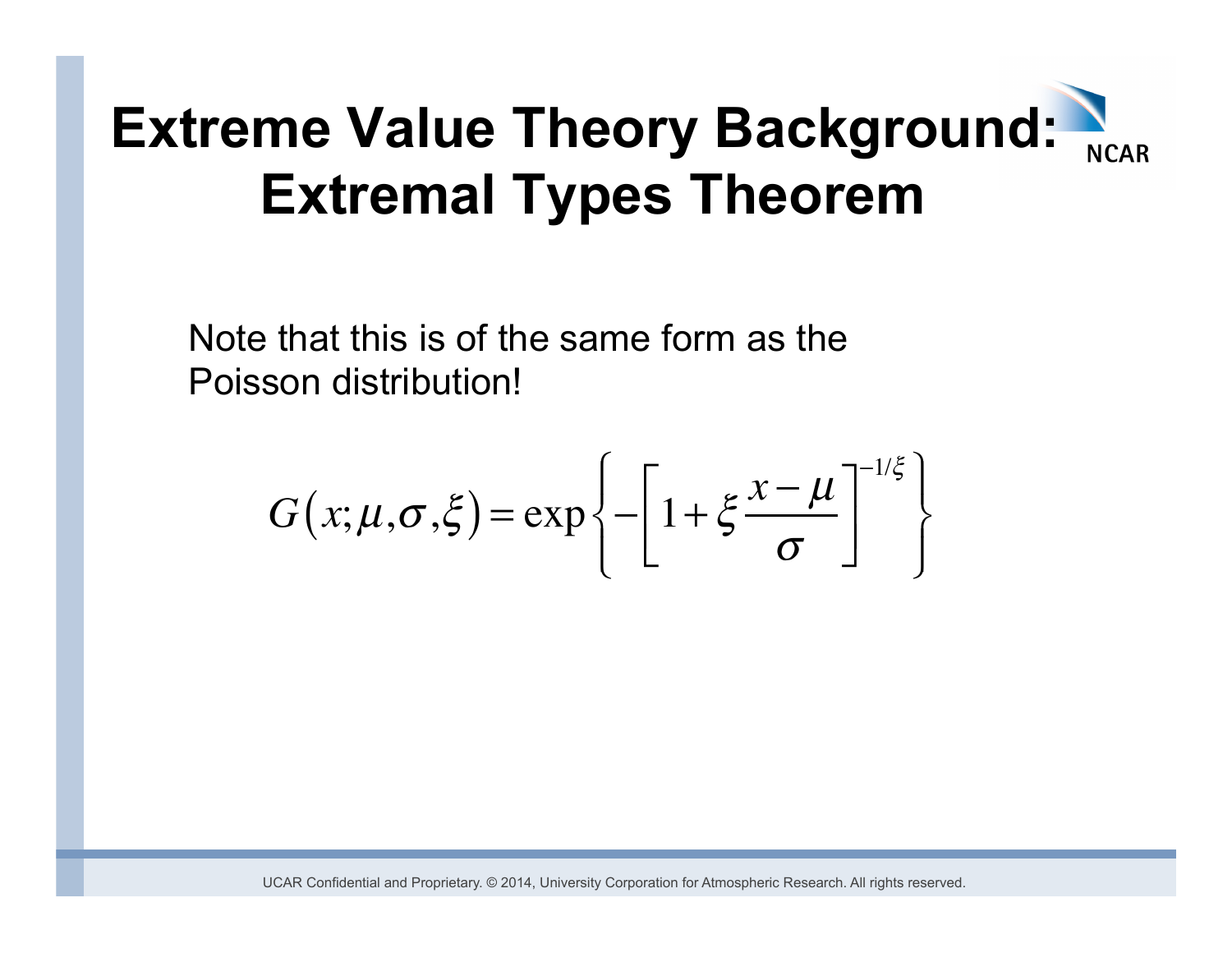Note that this is of the same form as the Poisson distribution!

$$
G(x; \mu, \sigma, \xi) = \exp\left\{-\left[1 + \xi \frac{x - \mu}{\sigma}\right]^{-1/\xi}\right\}
$$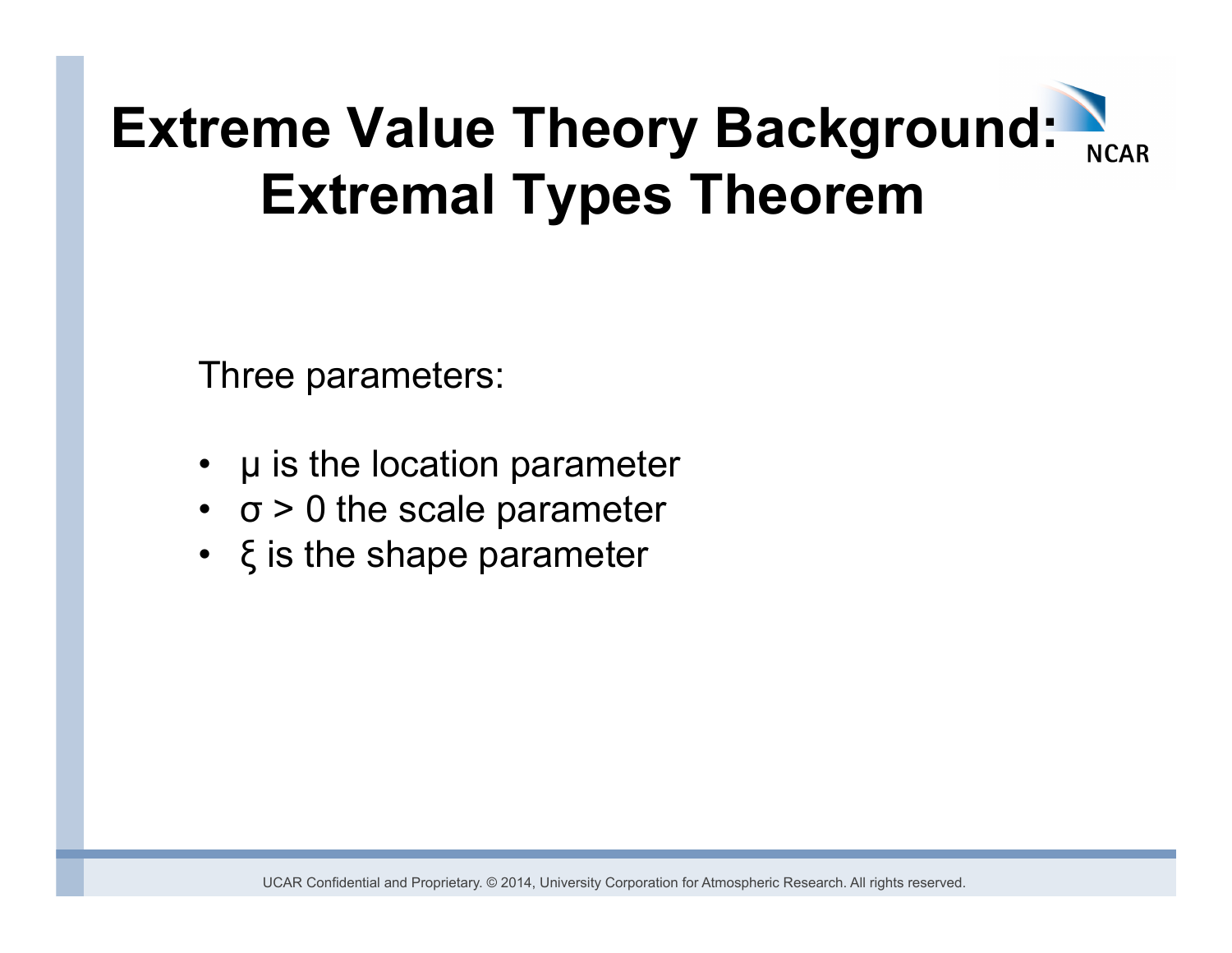Three parameters:

- $\mu$  is the location parameter
- $\cdot$   $\sigma$  > 0 the scale parameter
- ξ is the shape parameter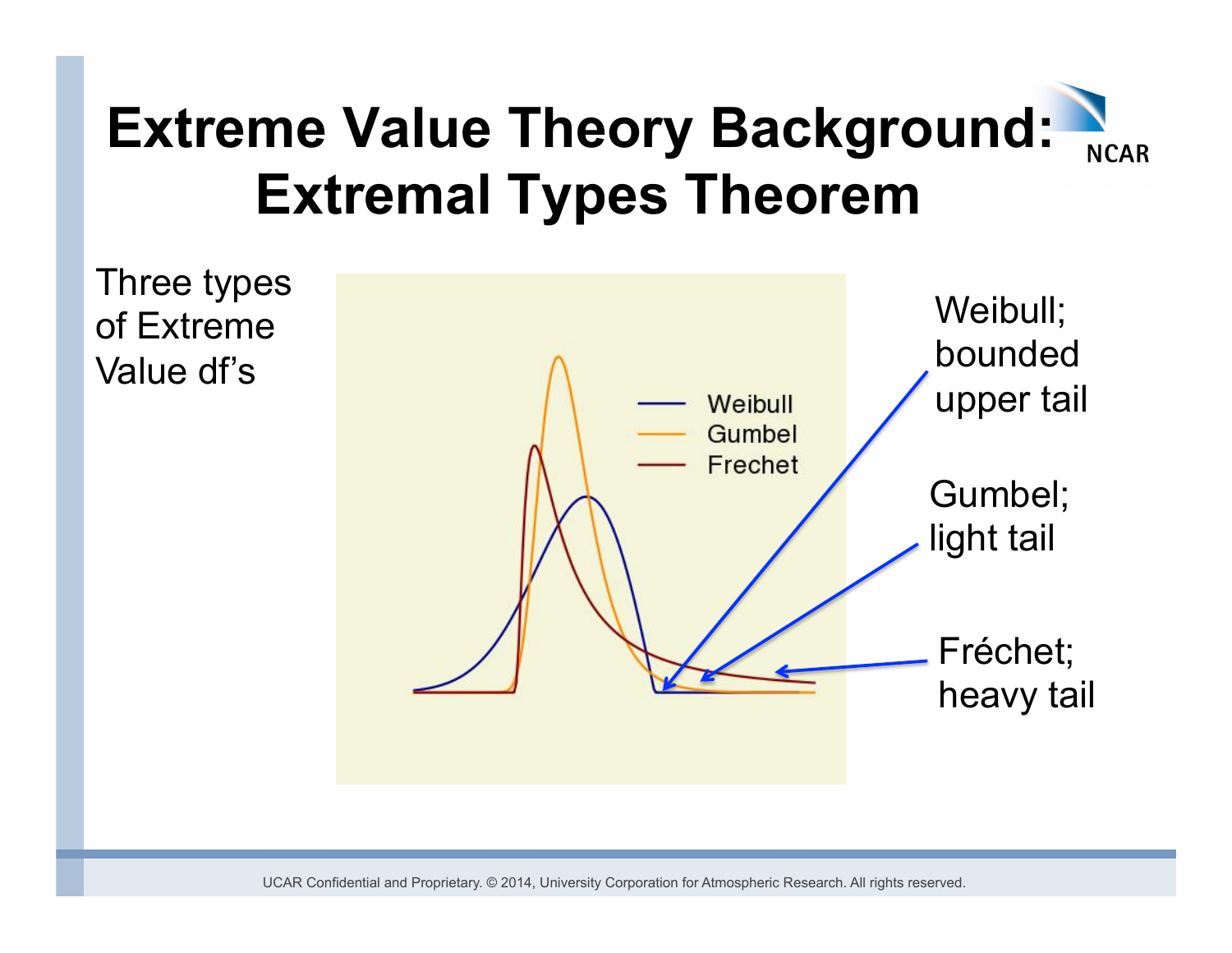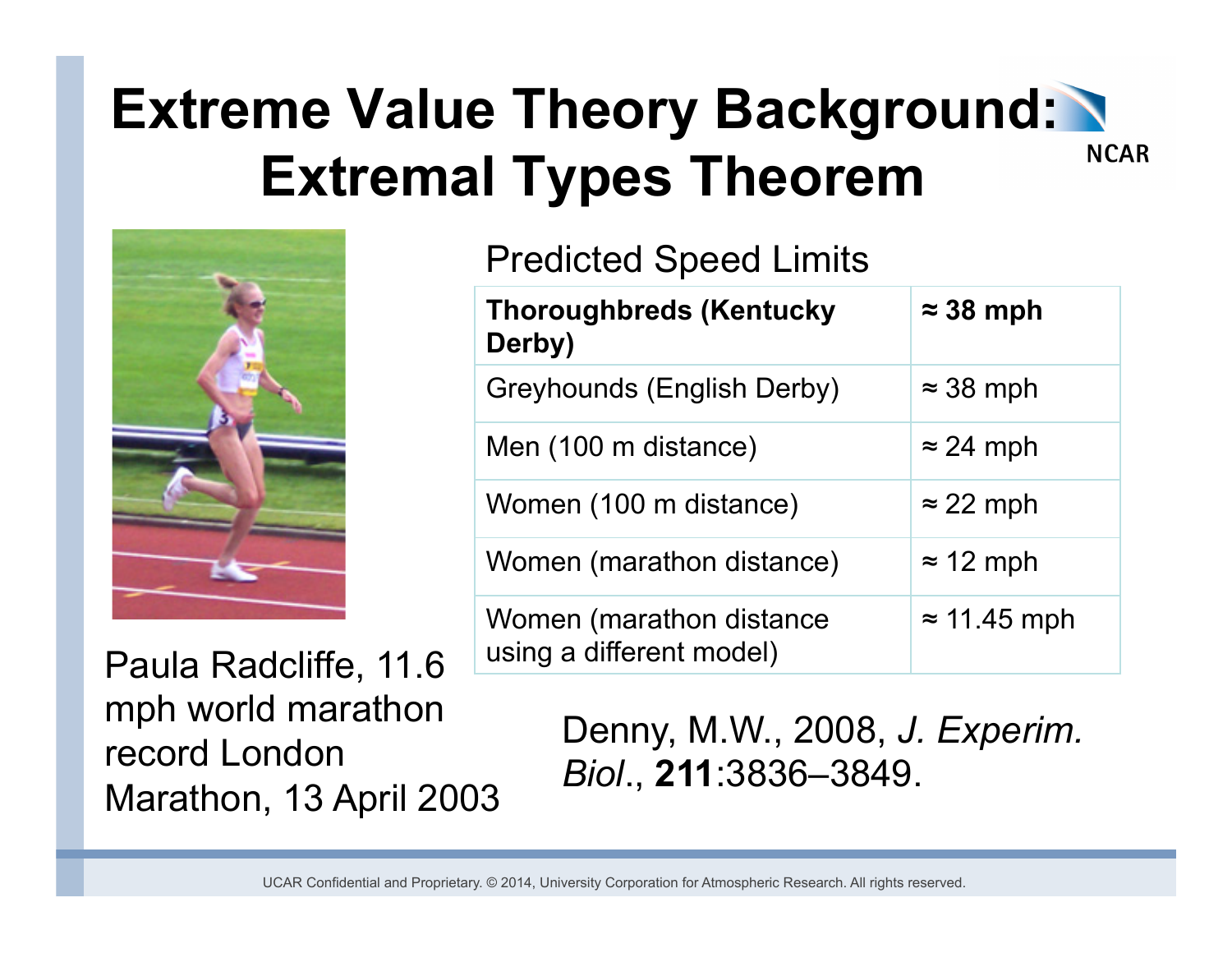

#### Predicted Speed Limits

| <b>Thoroughbreds (Kentucky</b><br>Derby)             | $\approx$ 38 mph    |
|------------------------------------------------------|---------------------|
| <b>Greyhounds (English Derby)</b>                    | $\approx$ 38 mph    |
| Men (100 m distance)                                 | $\approx$ 24 mph    |
| Women (100 m distance)                               | $\approx$ 22 mph    |
| Women (marathon distance)                            | $\approx$ 12 mph    |
| Women (marathon distance<br>using a different model) | $\approx$ 11.45 mph |

Paula Radcliffe, 11.6 mph world marathon record London Marathon, 13 April 2003

Denny, M.W., 2008, *J. Experim. Biol*., **211**:3836–3849.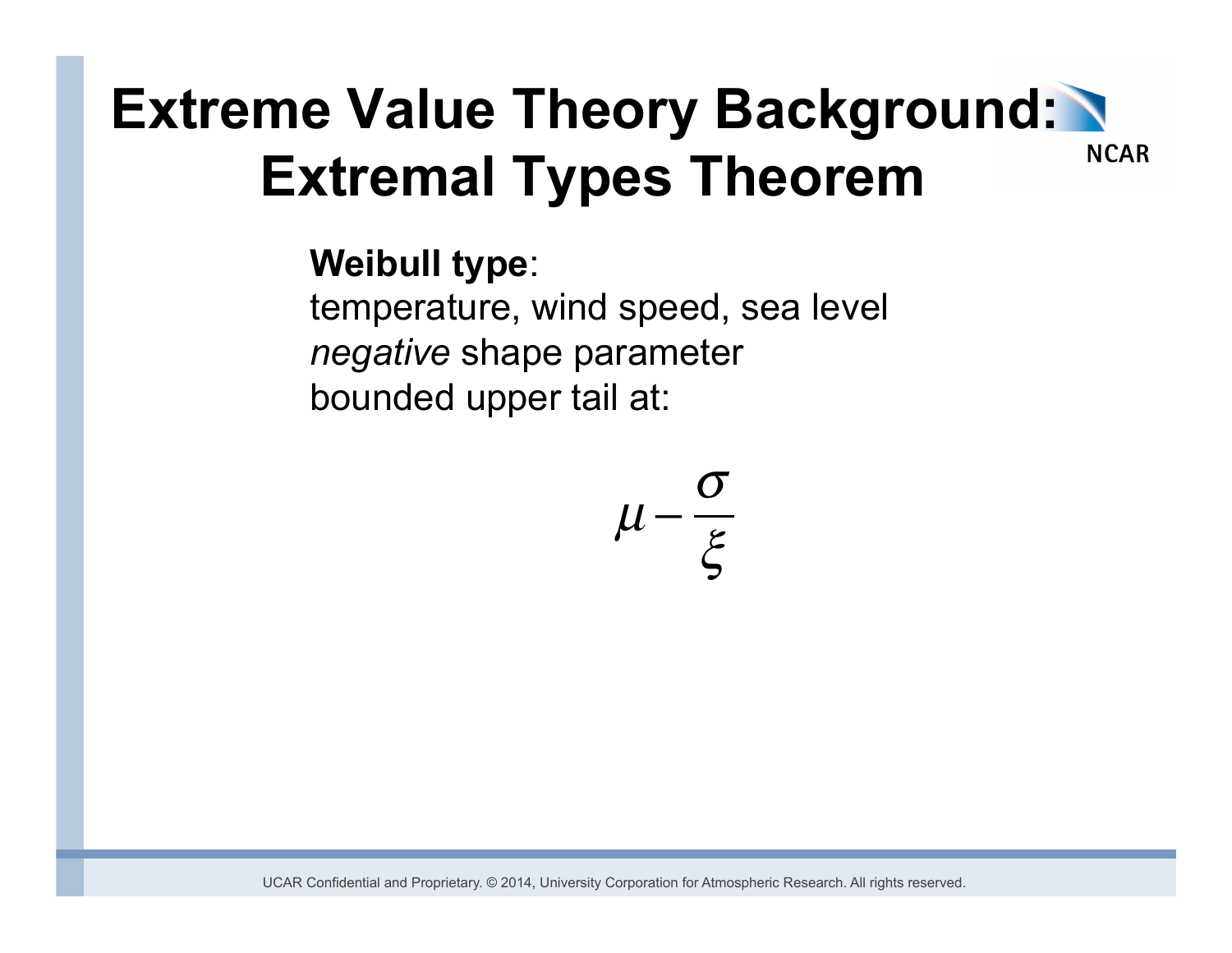#### **Weibull type**:

temperature, wind speed, sea level *negative* shape parameter bounded upper tail at:

$$
\mu-\frac{\sigma}{\xi}
$$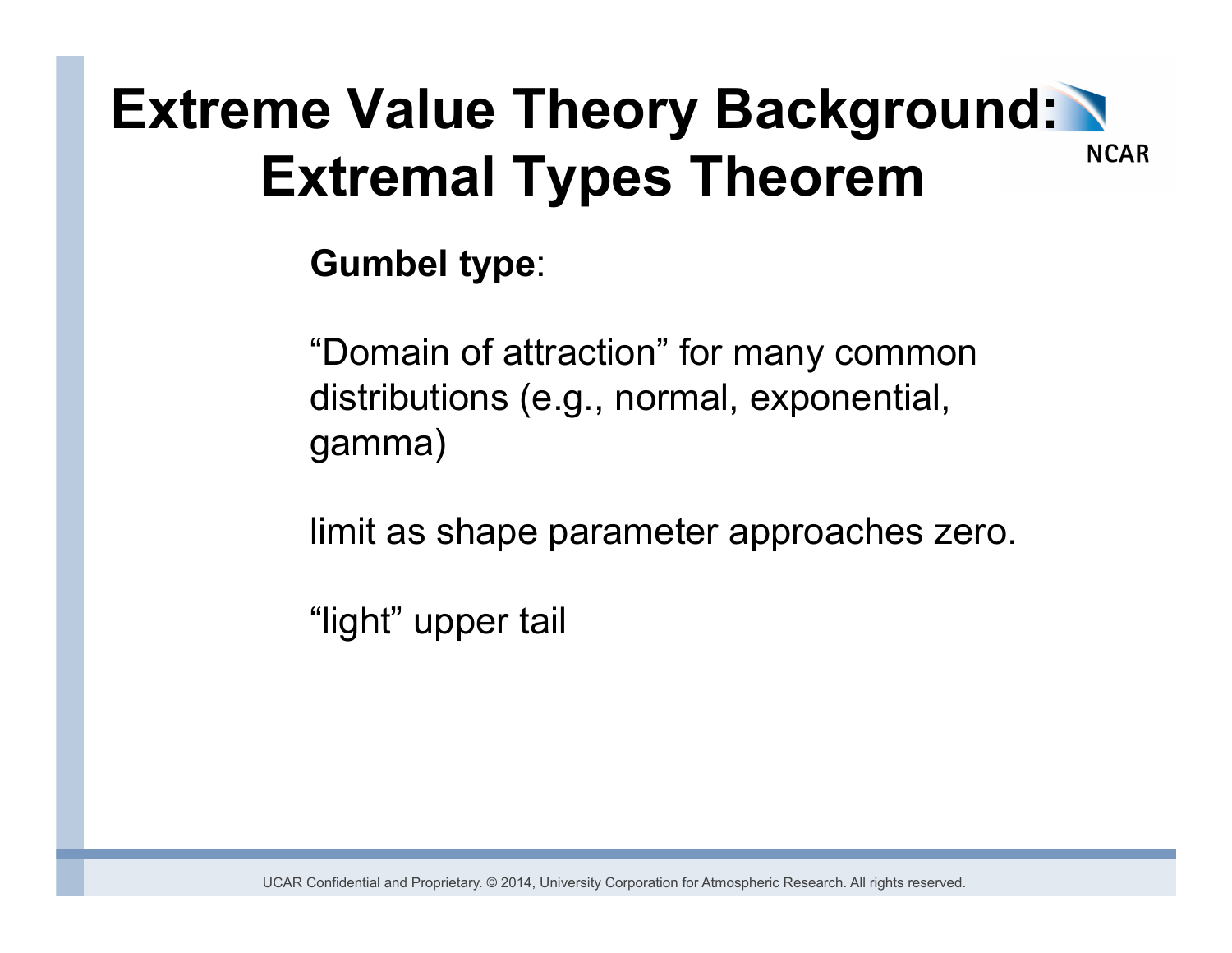#### **Gumbel type**:

"Domain of attraction" for many common distributions (e.g., normal, exponential, gamma)

limit as shape parameter approaches zero.

"light" upper tail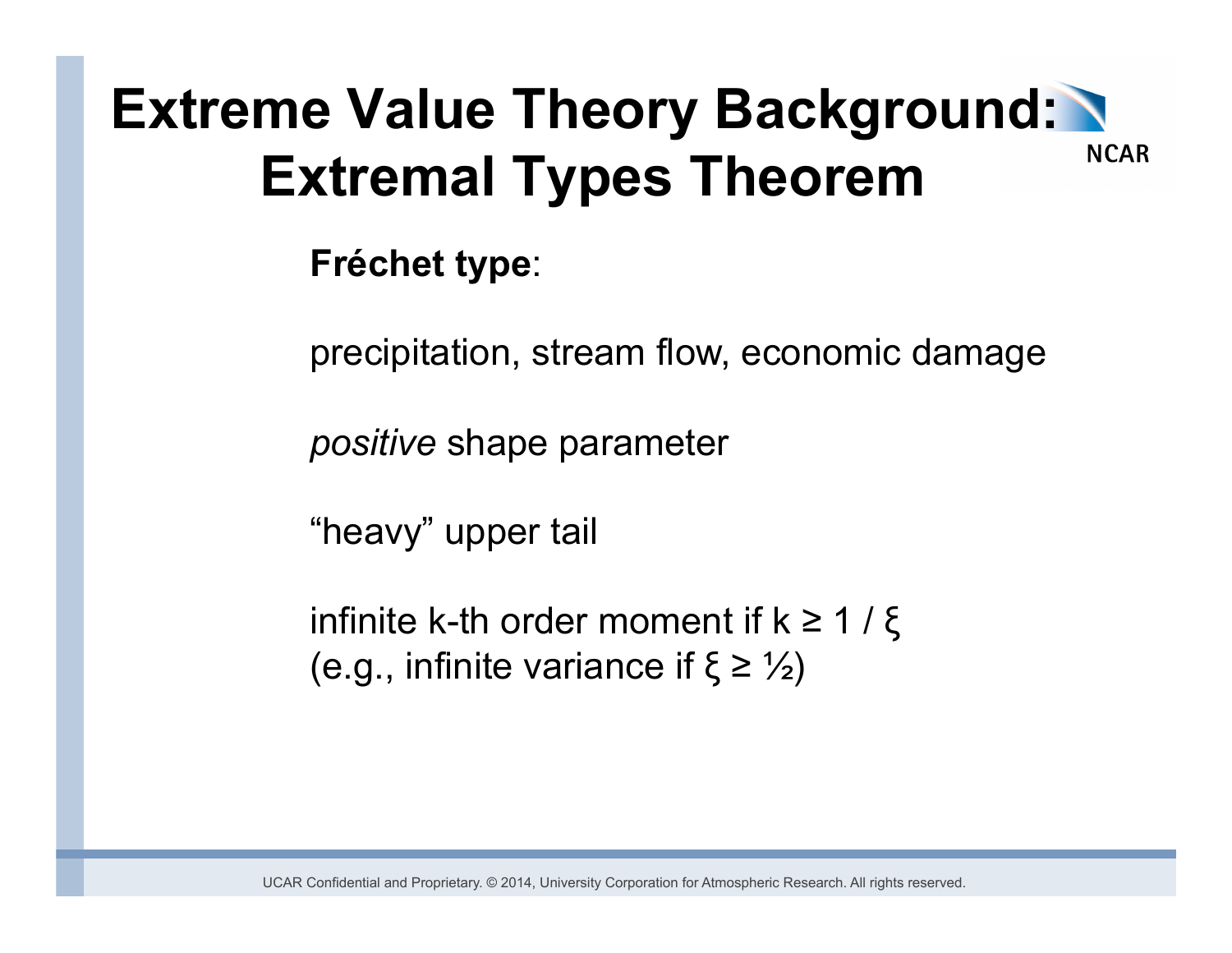#### **Fréchet type**:

precipitation, stream flow, economic damage

*positive* shape parameter

"heavy" upper tail

infinite k-th order moment if  $k \geq 1 / \xi$ (e.g., infinite variance if  $\xi \geq \frac{1}{2}$ )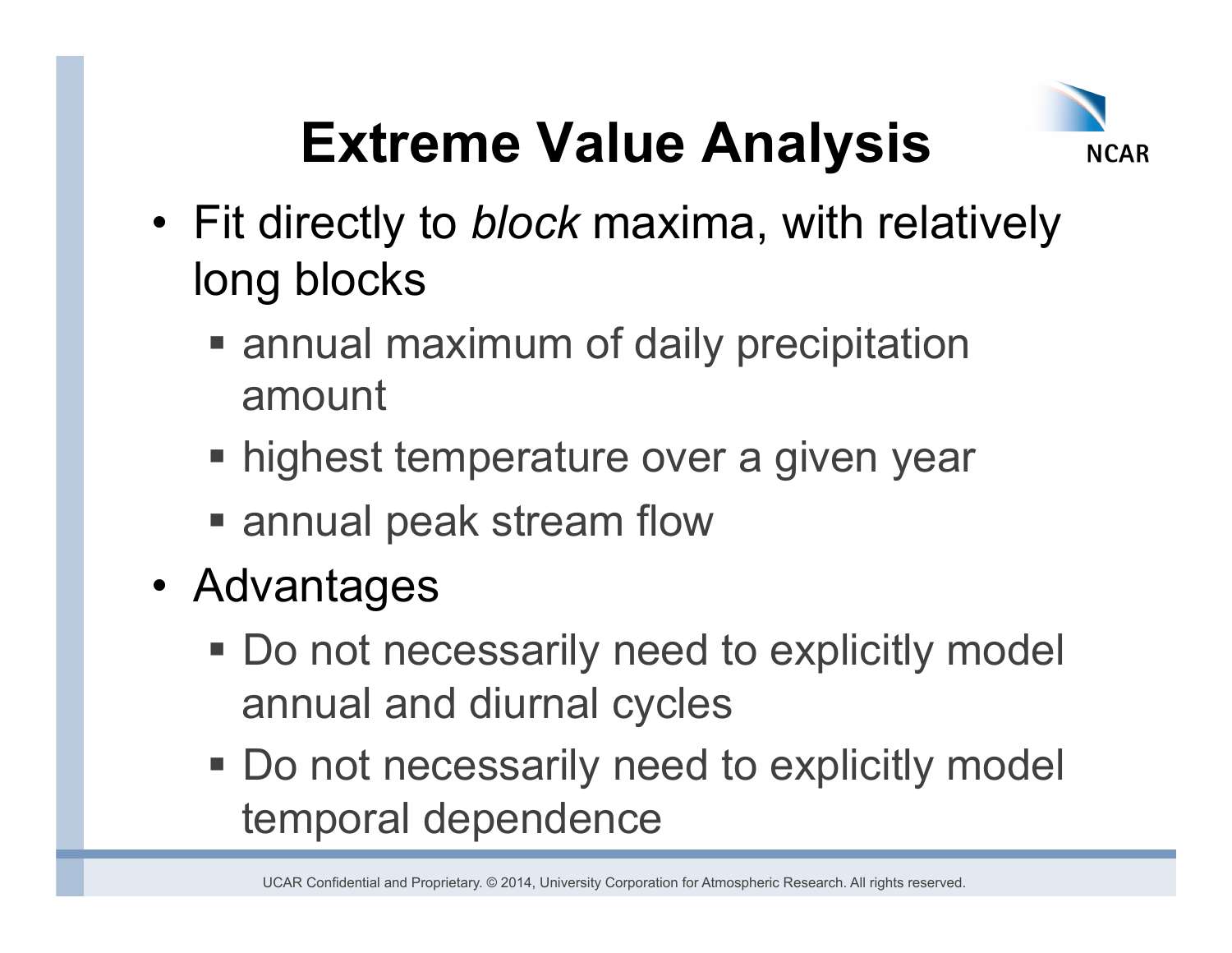

- Fit directly to *block* maxima, with relatively long blocks
	- annual maximum of daily precipitation amount
	- highest temperature over a given year
	- annual peak stream flow
- Advantages
	- Do not necessarily need to explicitly model annual and diurnal cycles
	- Do not necessarily need to explicitly model temporal dependence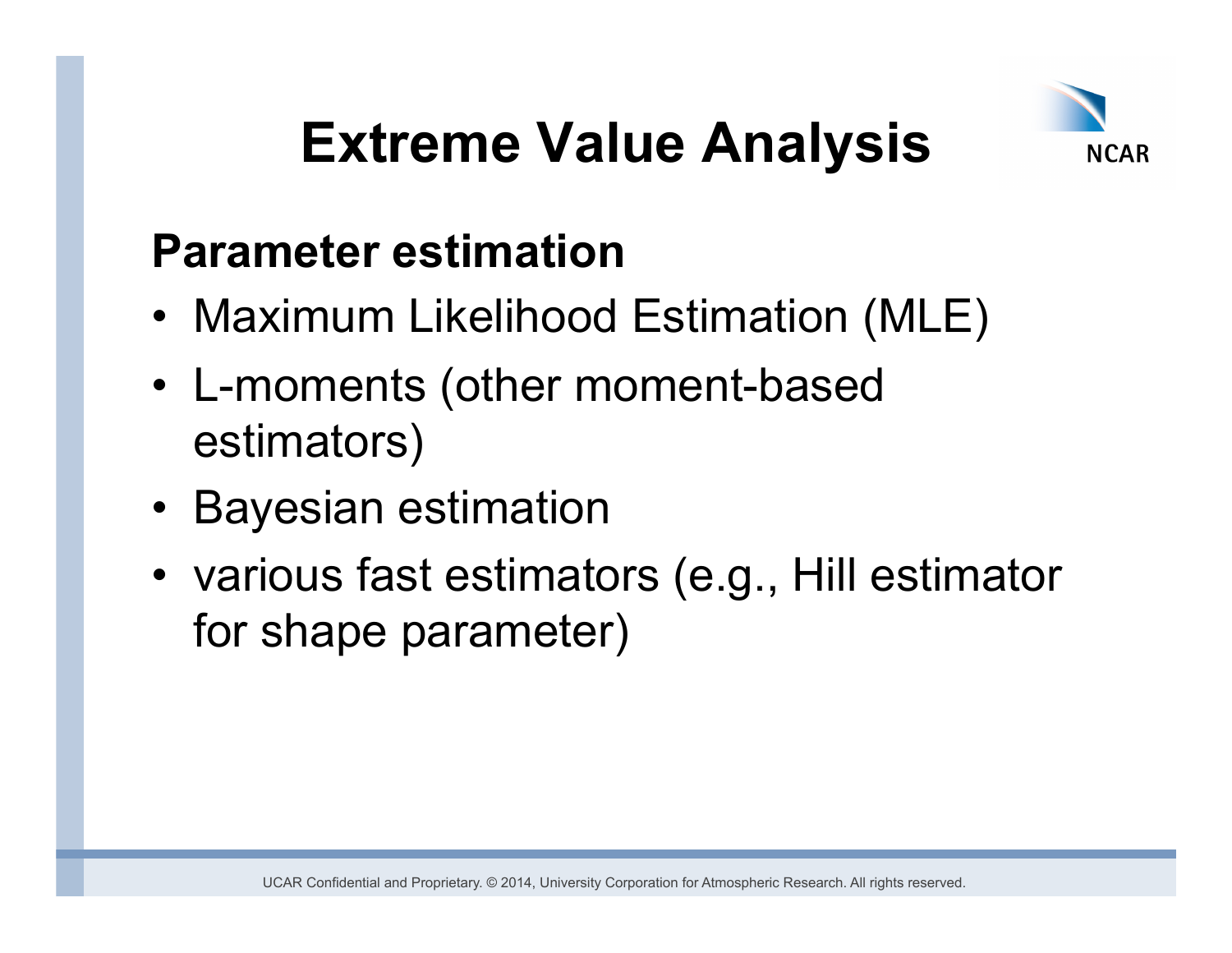

### **Parameter estimation**

- Maximum Likelihood Estimation (MLE)
- L-moments (other moment-based estimators)
- Bayesian estimation
- various fast estimators (e.g., Hill estimator for shape parameter)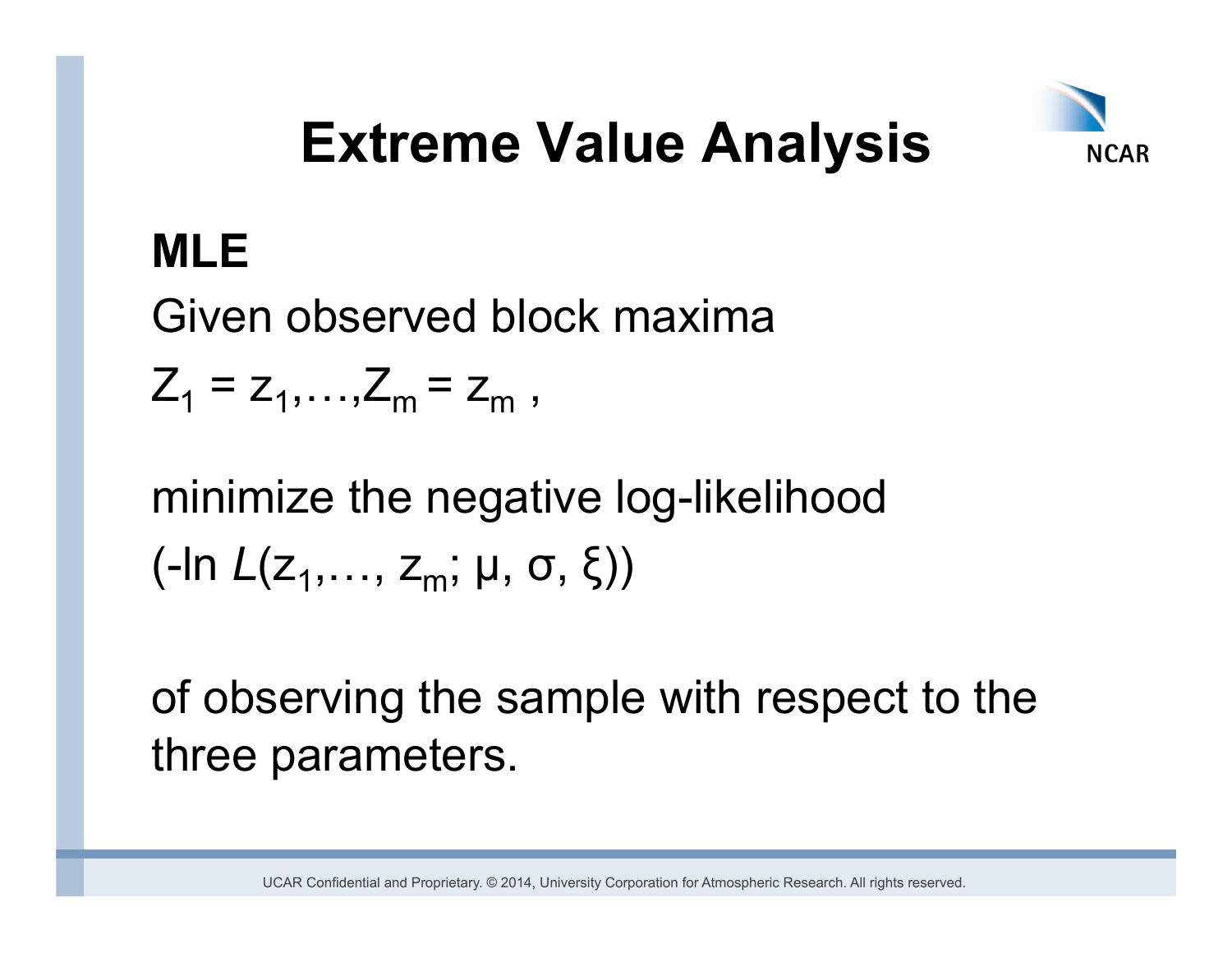

### **MLE**

Given observed block maxima

 $Z_1 = Z_1, \ldots, Z_m = Z_m$ ,

minimize the negative log-likelihood (-ln  $L(z_1,..., z_m; \mu, \sigma, \xi)$ )

of observing the sample with respect to the three parameters.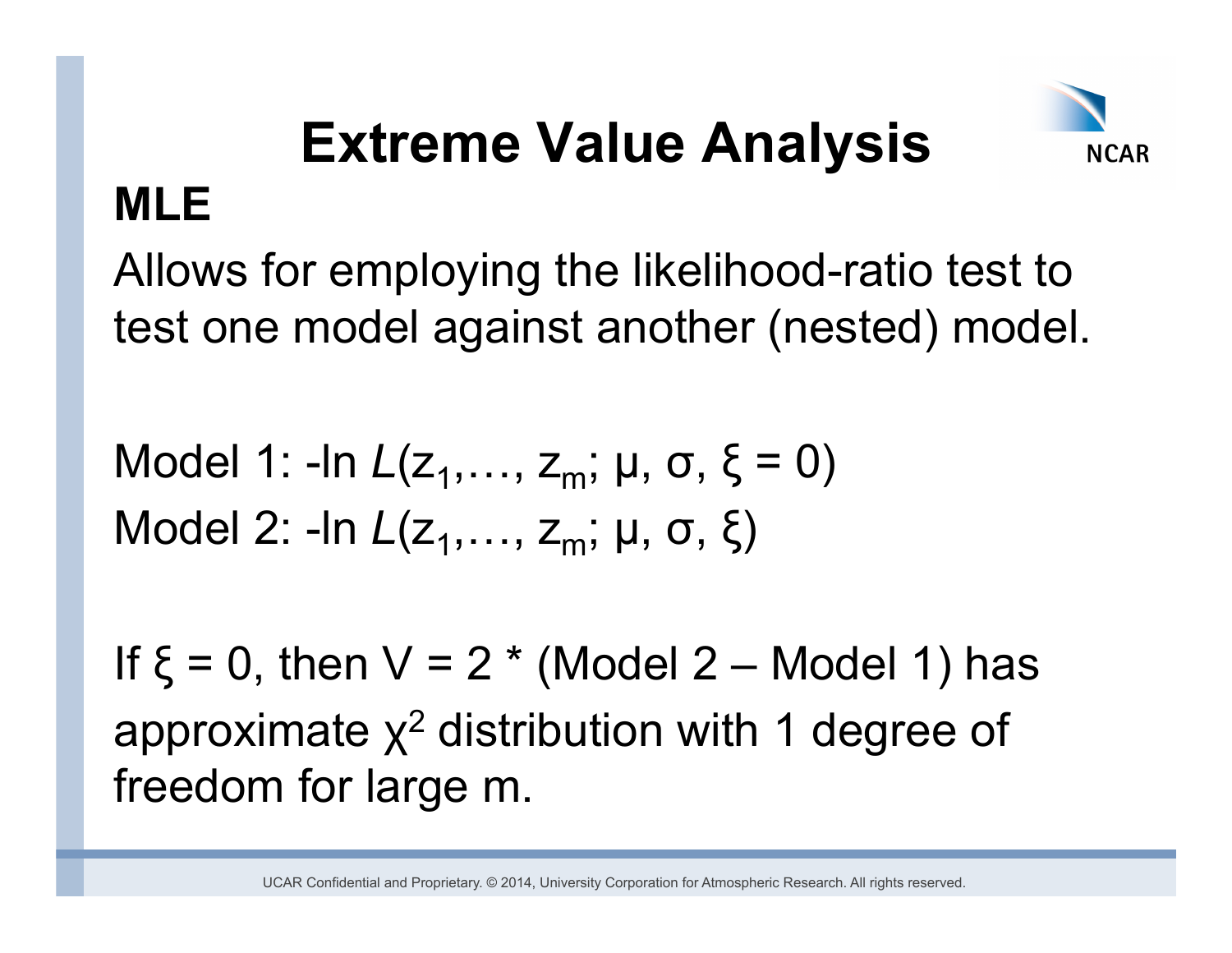

Allows for employing the likelihood-ratio test to test one model against another (nested) model.

Model 1: -ln  $L(z_1,..., z_m; \mu, \sigma, \xi = 0)$ Model 2: -In *L*(z<sub>1</sub>,..., z<sub>m</sub>; μ, σ, ξ)

If  $\xi = 0$ , then  $V = 2$  \* (Model 2 – Model 1) has approximate  $x^2$  distribution with 1 degree of freedom for large m.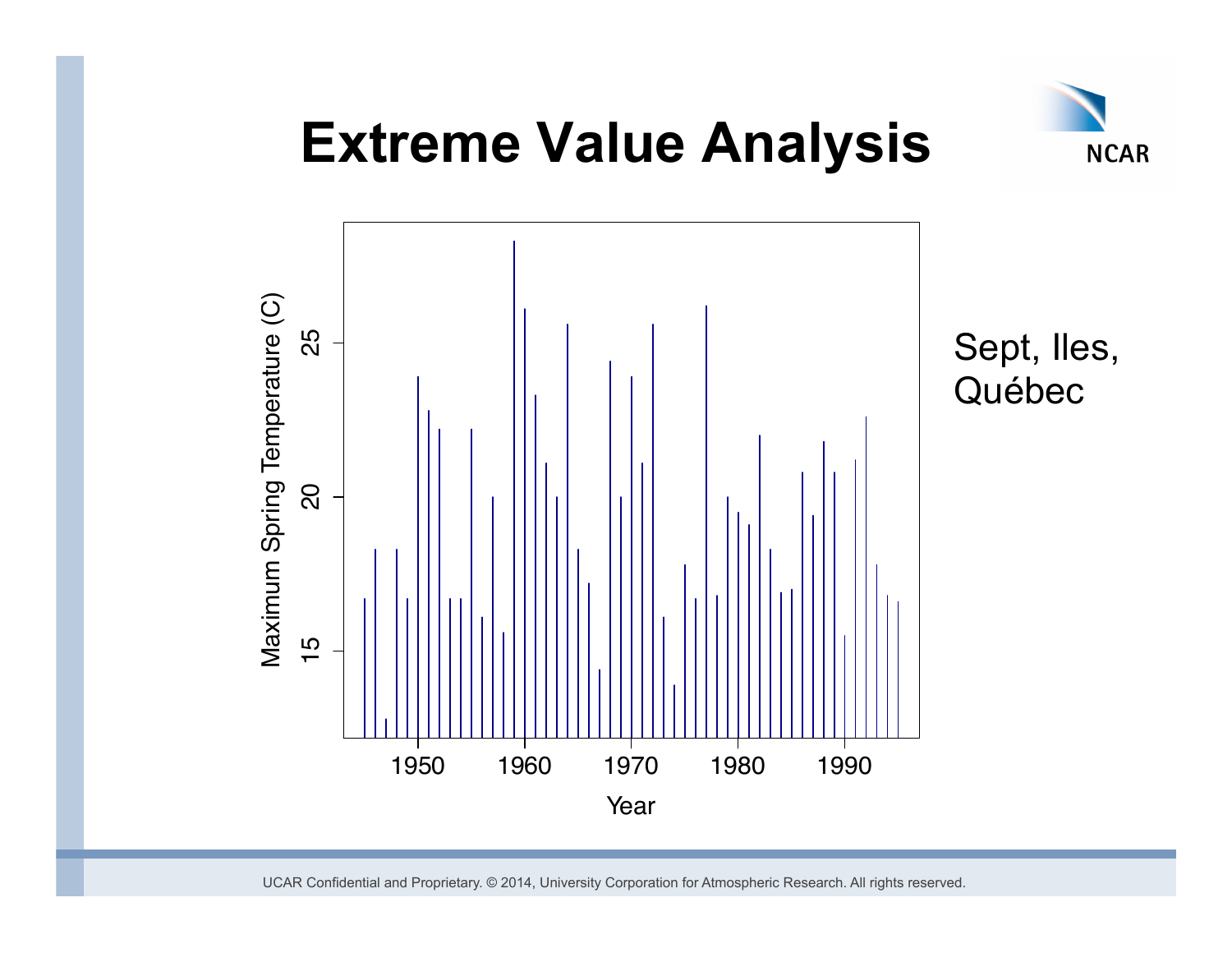

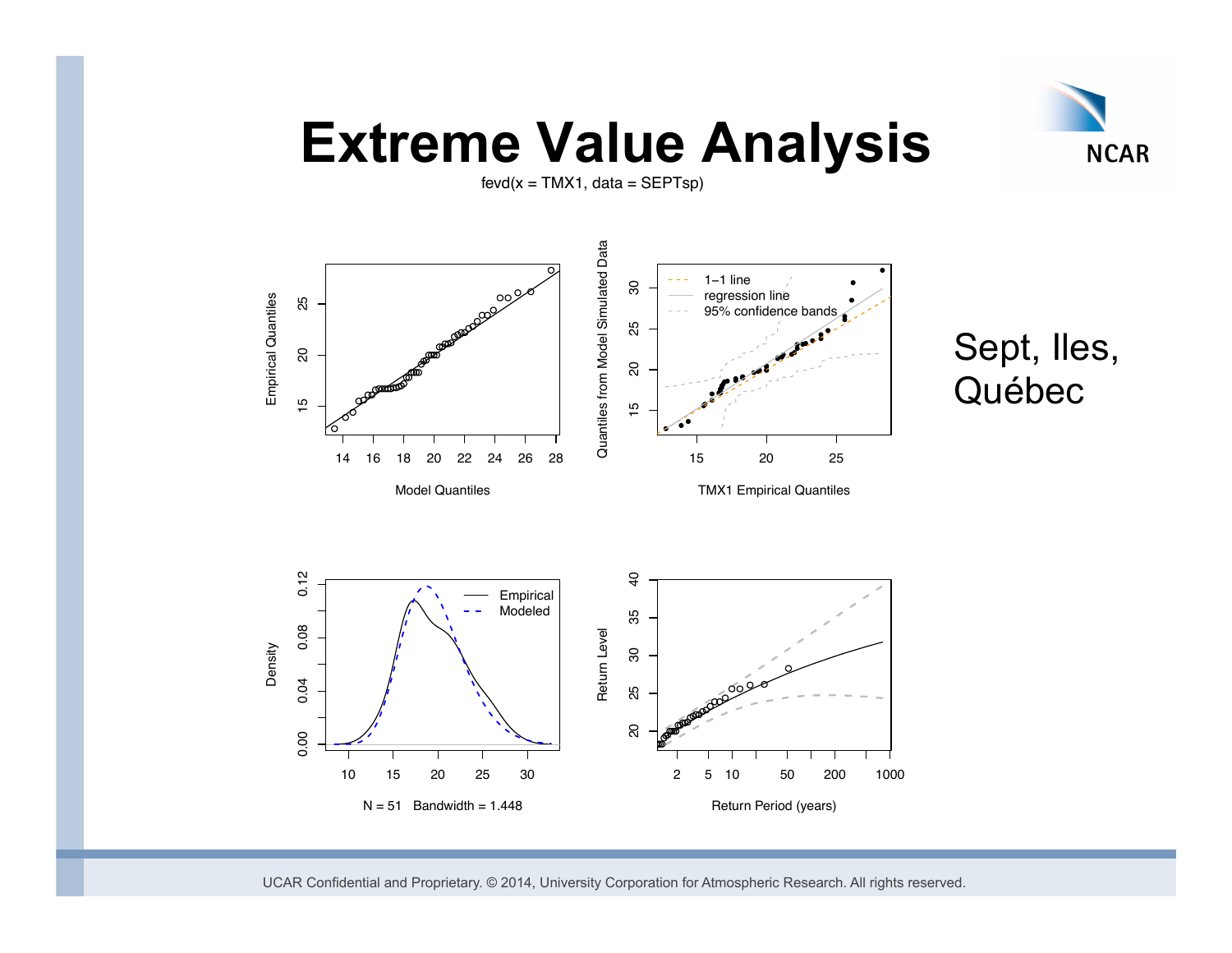

 $fevd(x = TMX1, data = SEPTsp)$ 

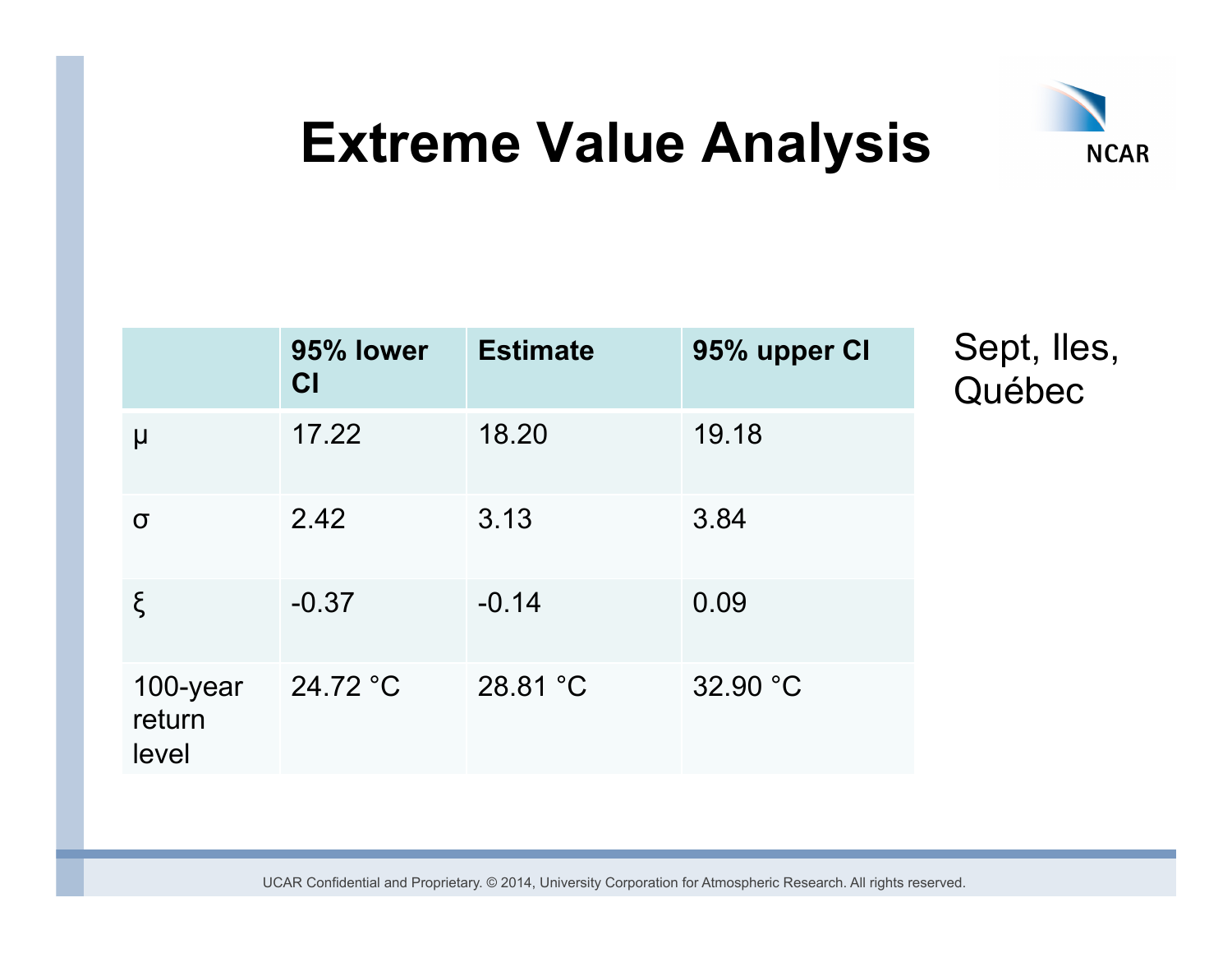

|                             | 95% lower<br><b>CI</b> | <b>Estimate</b> | 95% upper CI |
|-----------------------------|------------------------|-----------------|--------------|
| μ                           | 17.22                  | 18.20           | 19.18        |
| σ                           | 2.42                   | 3.13            | 3.84         |
| ξ                           | $-0.37$                | $-0.14$         | 0.09         |
| 100-year<br>return<br>level | 24.72 °C               | 28.81 °C        | 32.90 °C     |

Sept, Iles, Québec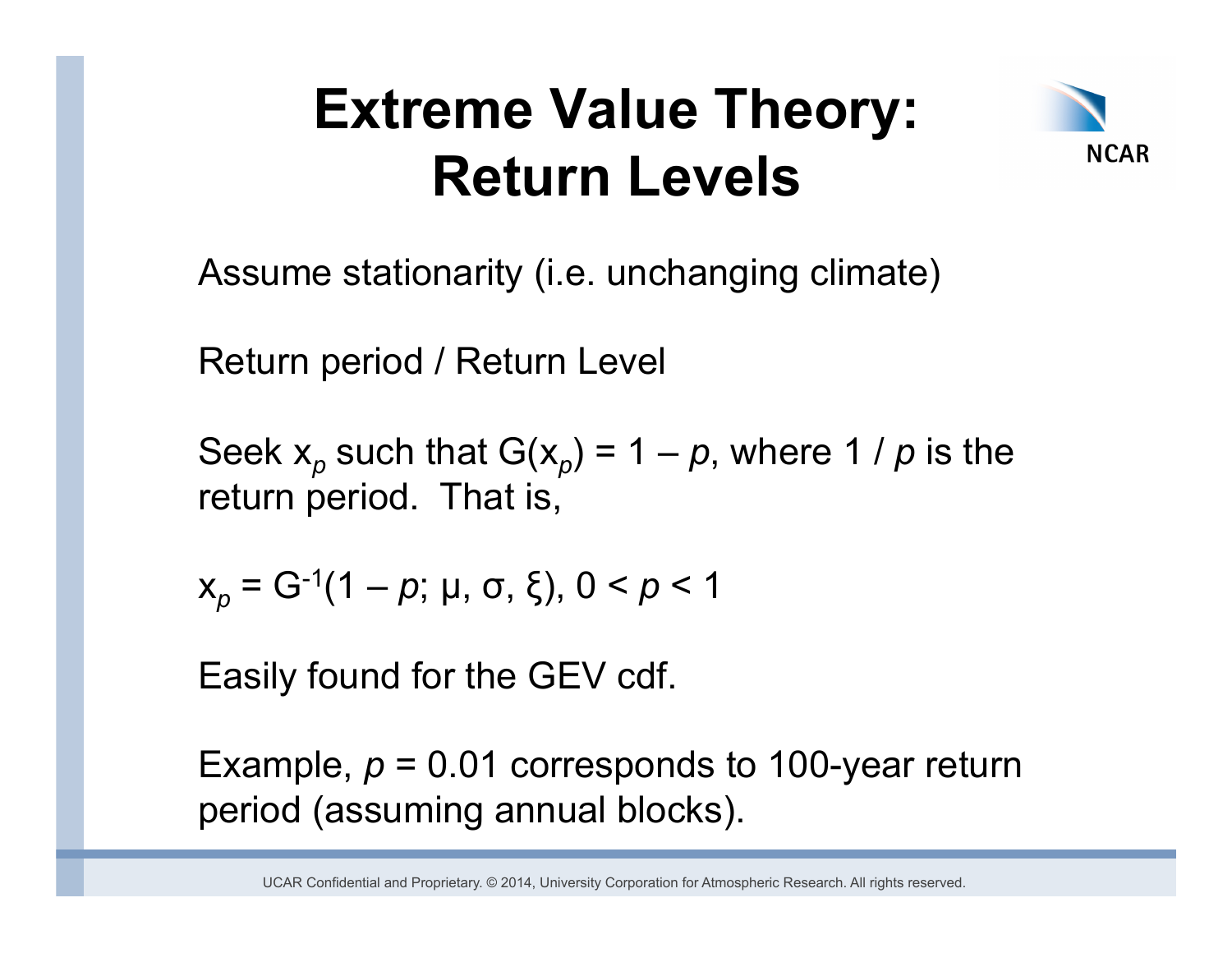## **Extreme Value Theory: Return Levels**



Assume stationarity (i.e. unchanging climate)

Return period / Return Level

Seek  $x_p$  such that  $G(x_p) = 1 - p$ , where 1 / p is the return period. That is,

$$
x_p = G^{-1}(1-p; \mu, \sigma, \xi), 0 < p < 1
$$

Easily found for the GEV cdf.

Example,  $p = 0.01$  corresponds to 100-year return period (assuming annual blocks).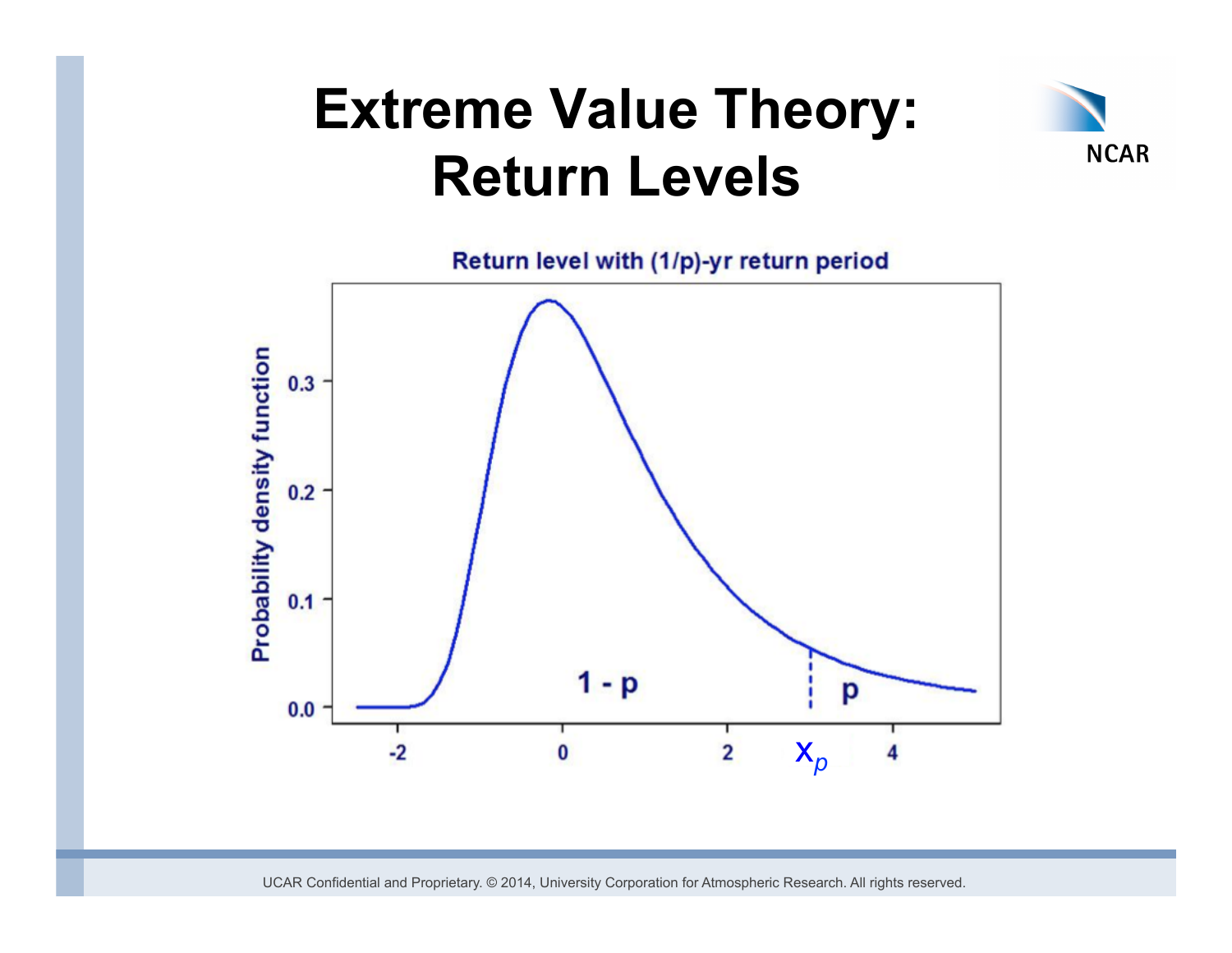## **Extreme Value Theory: Return Levels**



Return level with (1/p)-yr return period